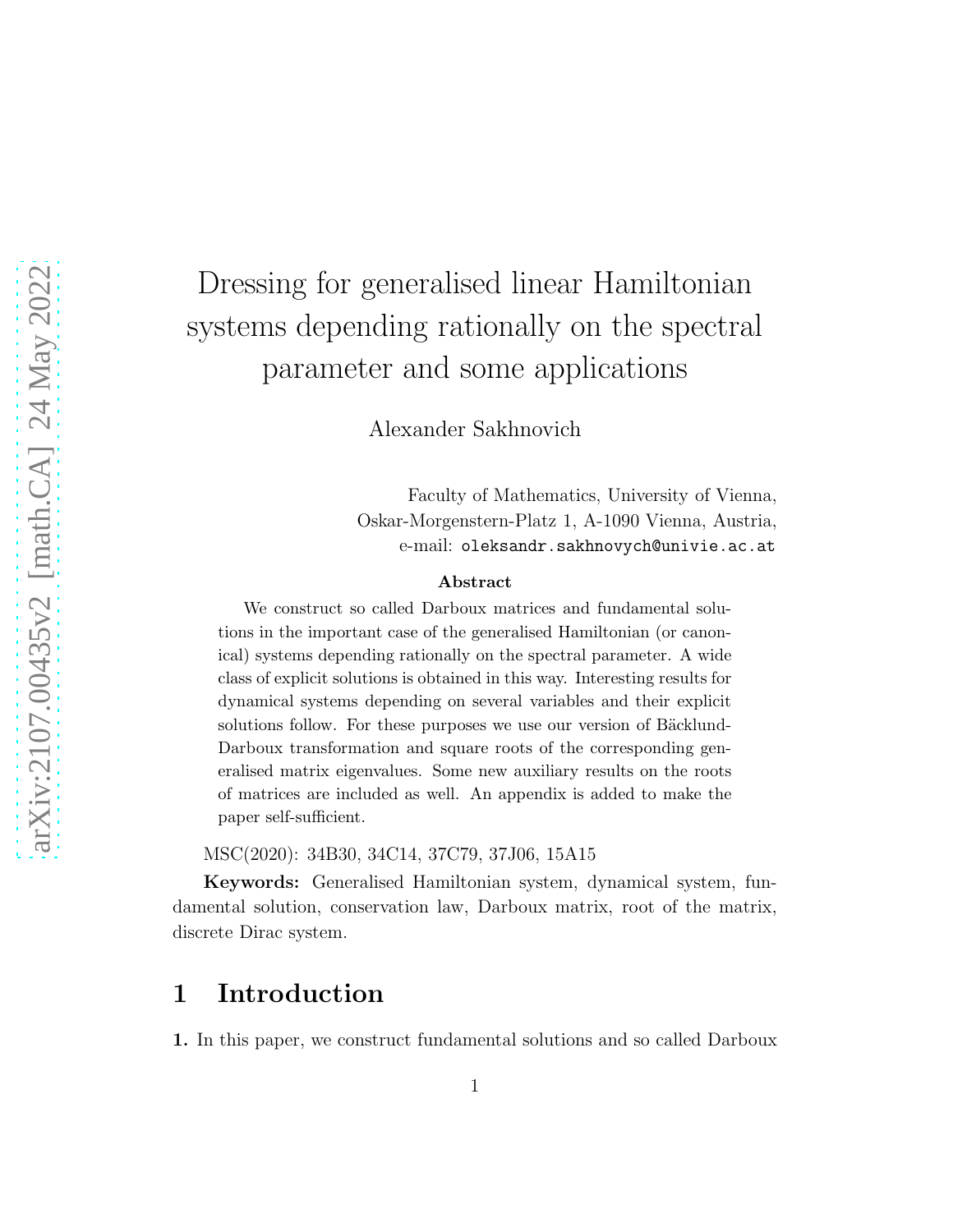# Dressing for generalised linear Hamiltonian systems depending rationally on the spectral parameter and some applications

Alexander Sakhnovich

Faculty of Mathematics, University of Vienna, Oskar-Morgenstern-Platz 1, A-1090 Vienna, Austria, e-mail: oleksandr.sakhnovych@univie.ac.at

#### Abstract

We construct so called Darboux matrices and fundamental solutions in the important case of the generalised Hamiltonian (or canonical) systems depending rationally on the spectral parameter. A wide class of explicit solutions is obtained in this way. Interesting results for dynamical systems depending on several variables and their explicit solutions follow. For these purposes we use our version of Bäcklund-Darboux transformation and square roots of the corresponding generalised matrix eigenvalues. Some new auxiliary results on the roots of matrices are included as well. An appendix is added to make the paper self-sufficient.

MSC(2020): 34B30, 34C14, 37C79, 37J06, 15A15

Keywords: Generalised Hamiltonian system, dynamical system, fundamental solution, conservation law, Darboux matrix, root of the matrix, discrete Dirac system.

# 1 Introduction

1. In this paper, we construct fundamental solutions and so called Darboux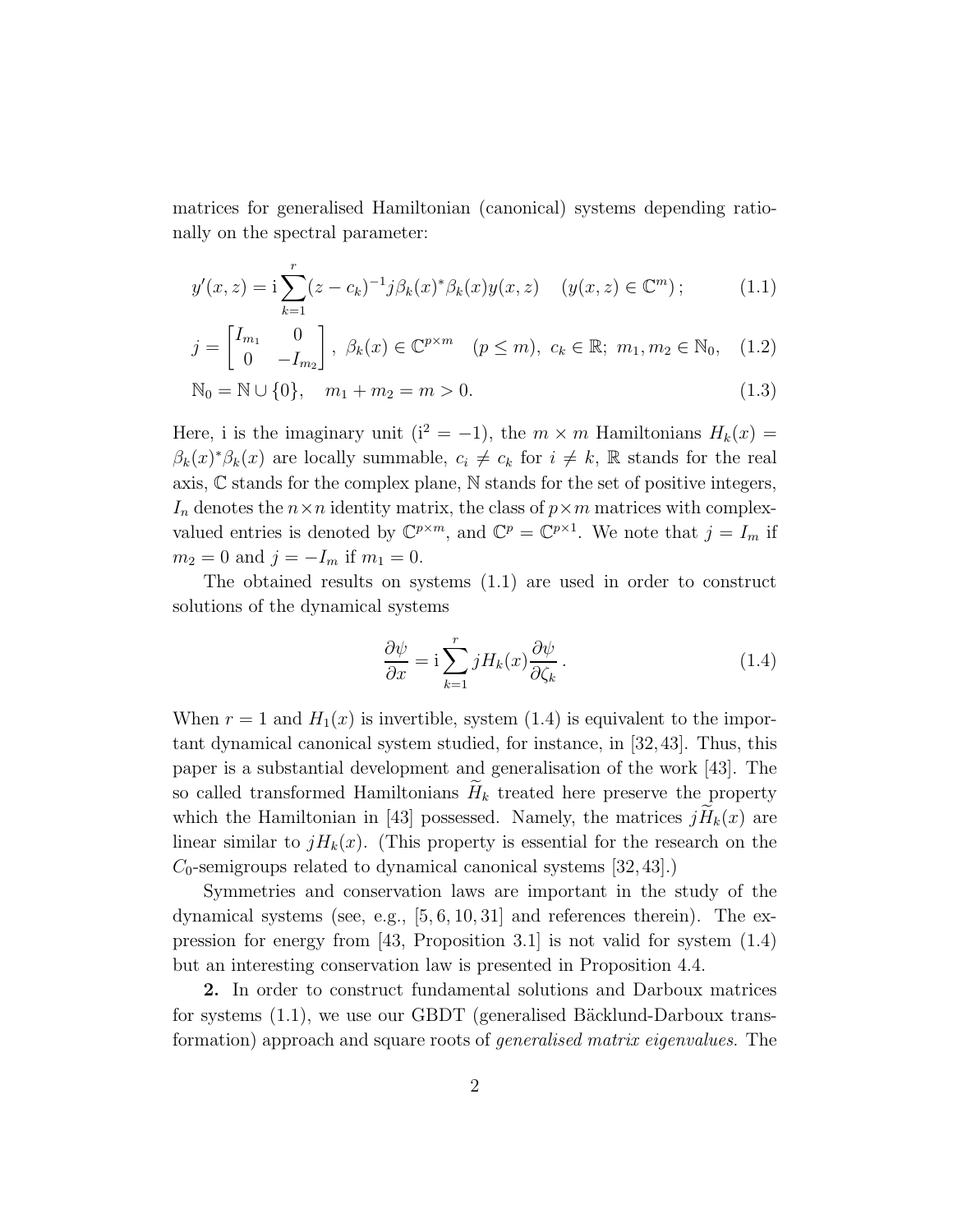matrices for generalised Hamiltonian (canonical) systems depending rationally on the spectral parameter:

$$
y'(x, z) = \mathbf{i} \sum_{k=1}^{r} (z - c_k)^{-1} j \beta_k(x)^* \beta_k(x) y(x, z) \quad (y(x, z) \in \mathbb{C}^m); \tag{1.1}
$$

$$
j = \begin{bmatrix} I_{m_1} & 0 \\ 0 & -I_{m_2} \end{bmatrix}, \ \beta_k(x) \in \mathbb{C}^{p \times m} \quad (p \le m), \ c_k \in \mathbb{R}; \ m_1, m_2 \in \mathbb{N}_0, \quad (1.2)
$$

$$
\mathbb{N}_0 = \mathbb{N} \cup \{0\}, \quad m_1 + m_2 = m > 0. \tag{1.3}
$$

Here, i is the imaginary unit ( $i^2 = -1$ ), the  $m \times m$  Hamiltonians  $H_k(x) =$  $\beta_k(x)^*\beta_k(x)$  are locally summable,  $c_i \neq c_k$  for  $i \neq k$ , R stands for the real axis, C stands for the complex plane, N stands for the set of positive integers,  $I_n$  denotes the  $n \times n$  identity matrix, the class of  $p \times m$  matrices with complexvalued entries is denoted by  $\mathbb{C}^{p \times m}$ , and  $\mathbb{C}^p = \mathbb{C}^{p \times 1}$ . We note that  $j = I_m$  if  $m_2 = 0$  and  $j = -I_m$  if  $m_1 = 0$ .

The obtained results on systems (1.1) are used in order to construct solutions of the dynamical systems

$$
\frac{\partial \psi}{\partial x} = i \sum_{k=1}^{r} j H_k(x) \frac{\partial \psi}{\partial \zeta_k}.
$$
\n(1.4)

When  $r = 1$  and  $H_1(x)$  is invertible, system (1.4) is equivalent to the important dynamical canonical system studied, for instance, in [32,43]. Thus, this paper is a substantial development and generalisation of the work [43]. The so called transformed Hamiltonians  $H_k$  treated here preserve the property which the Hamiltonian in [43] possessed. Namely, the matrices  $jH_k(x)$  are linear similar to  $jH_k(x)$ . (This property is essential for the research on the  $C_0$ -semigroups related to dynamical canonical systems [32, 43].)

Symmetries and conservation laws are important in the study of the dynamical systems (see, e.g.,  $[5, 6, 10, 31]$  and references therein). The expression for energy from [43, Proposition 3.1] is not valid for system (1.4) but an interesting conservation law is presented in Proposition 4.4.

2. In order to construct fundamental solutions and Darboux matrices for systems  $(1.1)$ , we use our GBDT (generalised Bäcklund-Darboux transformation) approach and square roots of generalised matrix eigenvalues. The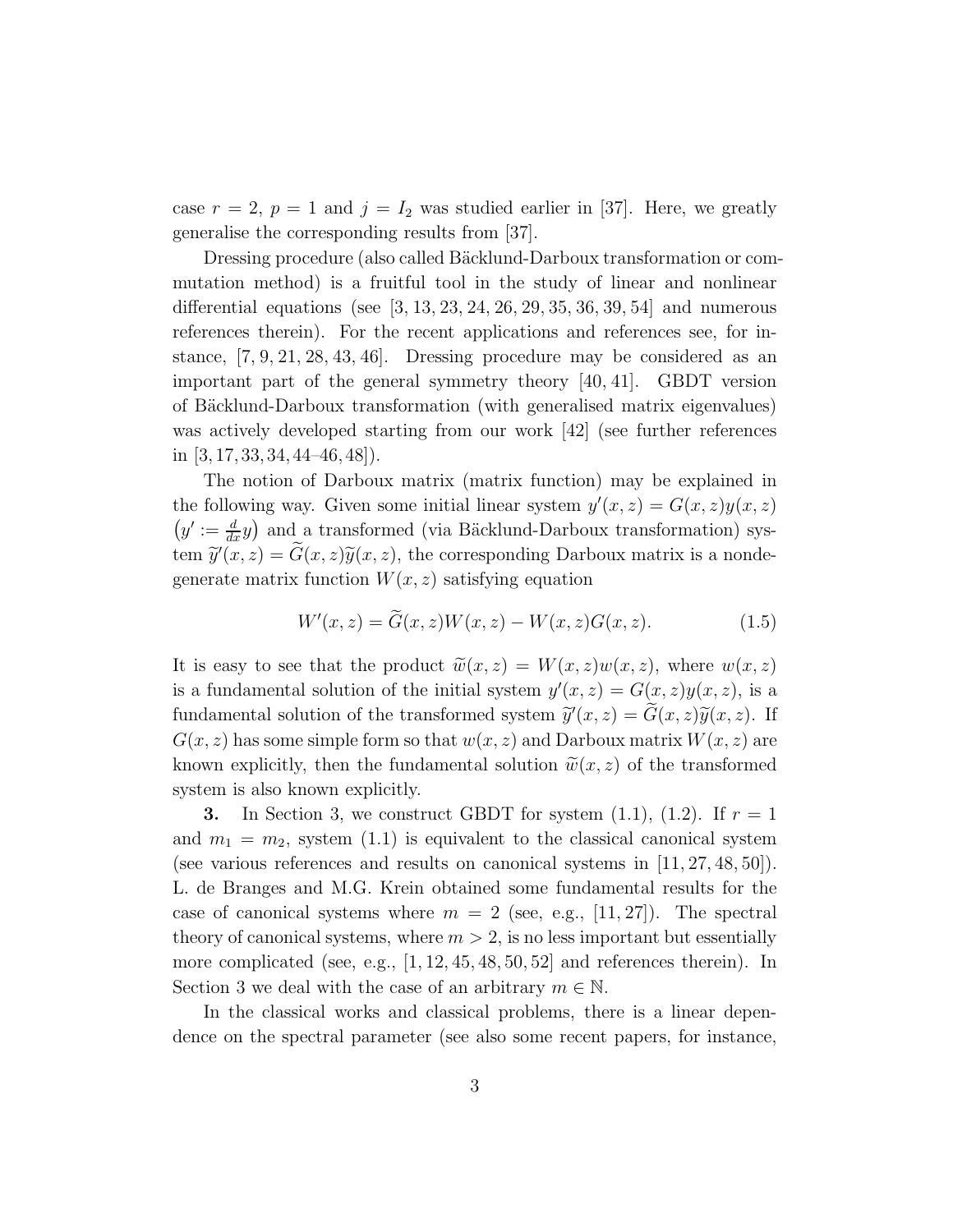case  $r = 2$ ,  $p = 1$  and  $j = I_2$  was studied earlier in [37]. Here, we greatly generalise the corresponding results from [37].

Dressing procedure (also called Bäcklund-Darboux transformation or commutation method) is a fruitful tool in the study of linear and nonlinear differential equations (see  $[3, 13, 23, 24, 26, 29, 35, 36, 39, 54]$  and numerous references therein). For the recent applications and references see, for instance, [7, 9, 21, 28, 43, 46]. Dressing procedure may be considered as an important part of the general symmetry theory [40, 41]. GBDT version of Bäcklund-Darboux transformation (with generalised matrix eigenvalues) was actively developed starting from our work [42] (see further references in  $[3, 17, 33, 34, 44–46, 48]$ .

The notion of Darboux matrix (matrix function) may be explained in the following way. Given some initial linear system  $y'(x, z) = G(x, z)y(x, z)$  $(y' := \frac{d}{dx}y)$  and a transformed (via Bäcklund-Darboux transformation) system  $\widetilde{y}'(x, z) = \widetilde{G}(x, z)\widetilde{y}(x, z)$ , the corresponding Darboux matrix is a nondegenerate matrix function  $W(x, z)$  satisfying equation

$$
W'(x, z) = \widetilde{G}(x, z)W(x, z) - W(x, z)G(x, z).
$$
\n(1.5)

It is easy to see that the product  $\widetilde{w}(x, z) = W(x, z)w(x, z)$ , where  $w(x, z)$ is a fundamental solution of the initial system  $y'(x, z) = G(x, z)y(x, z)$ , is a fundamental solution of the transformed system  $\widetilde{y}'(x, z) = \widetilde{G}(x, z)\widetilde{y}(x, z)$ . If  $G(x, z)$  has some simple form so that  $w(x, z)$  and Darboux matrix  $W(x, z)$  are known explicitly, then the fundamental solution  $\tilde{w}(x, z)$  of the transformed system is also known explicitly.

**3.** In Section 3, we construct GBDT for system  $(1.1)$ ,  $(1.2)$ . If  $r = 1$ and  $m_1 = m_2$ , system (1.1) is equivalent to the classical canonical system (see various references and results on canonical systems in [11, 27, 48, 50]). L. de Branges and M.G. Krein obtained some fundamental results for the case of canonical systems where  $m = 2$  (see, e.g., [11, 27]). The spectral theory of canonical systems, where  $m > 2$ , is no less important but essentially more complicated (see, e.g.,  $[1, 12, 45, 48, 50, 52]$  and references therein). In Section 3 we deal with the case of an arbitrary  $m \in \mathbb{N}$ .

In the classical works and classical problems, there is a linear dependence on the spectral parameter (see also some recent papers, for instance,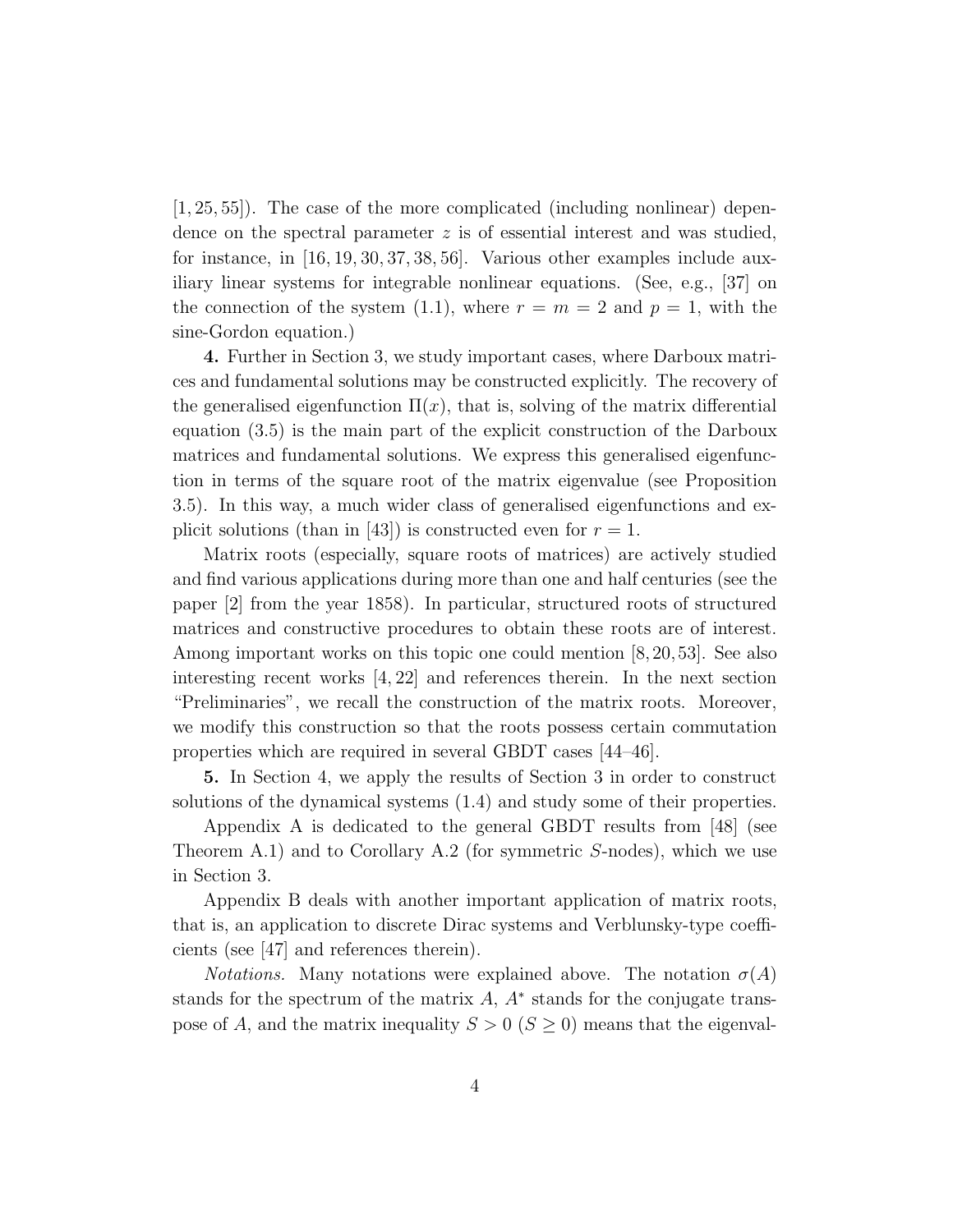[1, 25, 55]). The case of the more complicated (including nonlinear) dependence on the spectral parameter  $z$  is of essential interest and was studied, for instance, in [16, 19, 30, 37, 38, 56]. Various other examples include auxiliary linear systems for integrable nonlinear equations. (See, e.g., [37] on the connection of the system (1.1), where  $r = m = 2$  and  $p = 1$ , with the sine-Gordon equation.)

4. Further in Section 3, we study important cases, where Darboux matrices and fundamental solutions may be constructed explicitly. The recovery of the generalised eigenfunction  $\Pi(x)$ , that is, solving of the matrix differential equation (3.5) is the main part of the explicit construction of the Darboux matrices and fundamental solutions. We express this generalised eigenfunction in terms of the square root of the matrix eigenvalue (see Proposition 3.5). In this way, a much wider class of generalised eigenfunctions and explicit solutions (than in [43]) is constructed even for  $r = 1$ .

Matrix roots (especially, square roots of matrices) are actively studied and find various applications during more than one and half centuries (see the paper [2] from the year 1858). In particular, structured roots of structured matrices and constructive procedures to obtain these roots are of interest. Among important works on this topic one could mention [8,20,53]. See also interesting recent works  $[4, 22]$  and references therein. In the next section "Preliminaries", we recall the construction of the matrix roots. Moreover, we modify this construction so that the roots possess certain commutation properties which are required in several GBDT cases [44–46].

5. In Section 4, we apply the results of Section 3 in order to construct solutions of the dynamical systems (1.4) and study some of their properties.

Appendix A is dedicated to the general GBDT results from [48] (see Theorem A.1) and to Corollary A.2 (for symmetric S-nodes), which we use in Section 3.

Appendix B deals with another important application of matrix roots, that is, an application to discrete Dirac systems and Verblunsky-type coefficients (see [47] and references therein).

*Notations.* Many notations were explained above. The notation  $\sigma(A)$ stands for the spectrum of the matrix  $A$ ,  $A^*$  stands for the conjugate transpose of A, and the matrix inequality  $S > 0$  ( $S \ge 0$ ) means that the eigenval-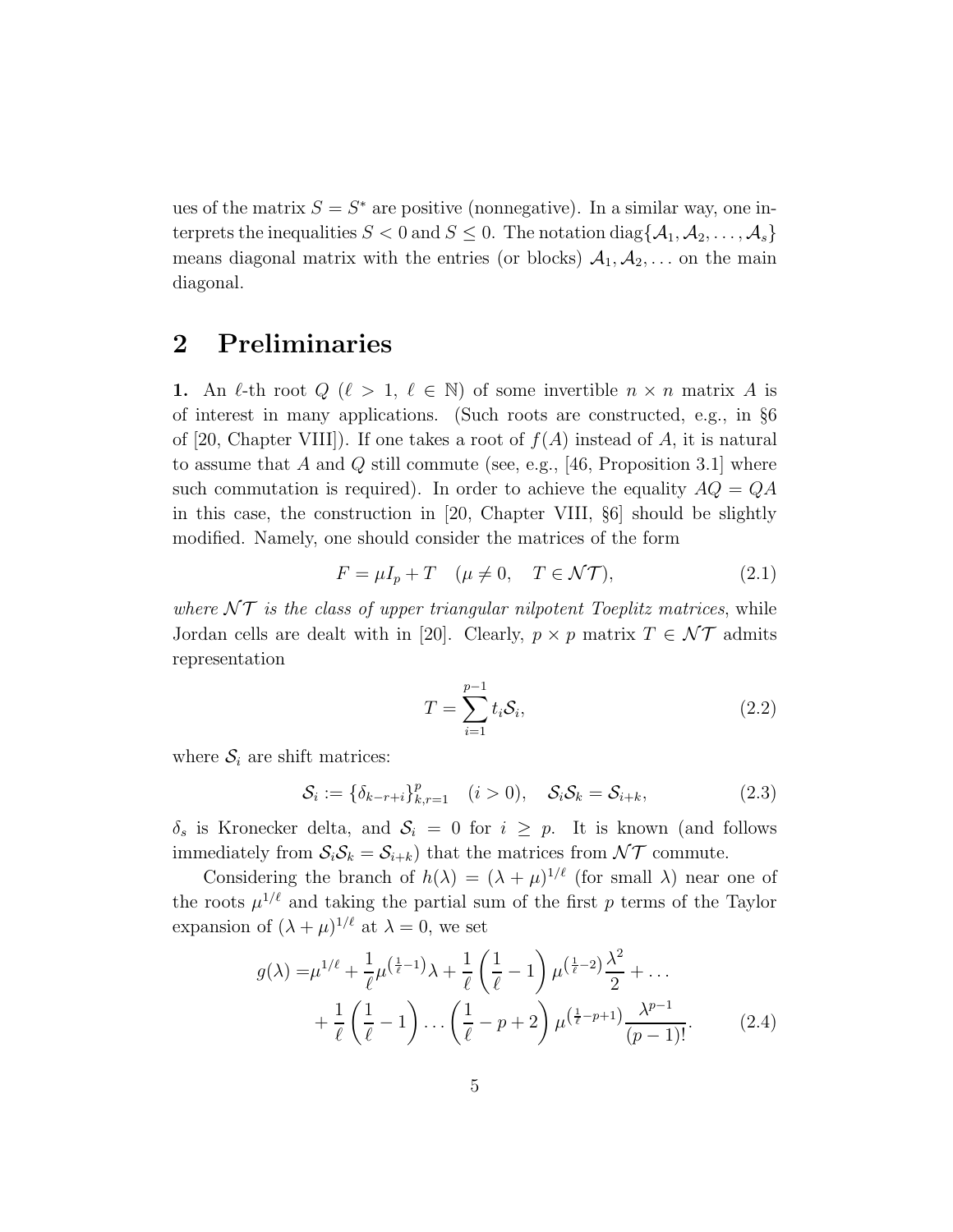ues of the matrix  $S = S^*$  are positive (nonnegative). In a similar way, one interprets the inequalities  $S < 0$  and  $S \leq 0$ . The notation diag $\{A_1, A_2, \ldots, A_s\}$ means diagonal matrix with the entries (or blocks)  $A_1, A_2, \ldots$  on the main diagonal.

# 2 Preliminaries

1. An  $\ell$ -th root  $Q$  ( $\ell > 1$ ,  $\ell \in \mathbb{N}$ ) of some invertible  $n \times n$  matrix A is of interest in many applications. (Such roots are constructed, e.g., in §6 of [20, Chapter VIII]). If one takes a root of  $f(A)$  instead of A, it is natural to assume that A and Q still commute (see, e.g., [46, Proposition 3.1] where such commutation is required). In order to achieve the equality  $AQ = QA$ in this case, the construction in [20, Chapter VIII, §6] should be slightly modified. Namely, one should consider the matrices of the form

$$
F = \mu I_p + T \quad (\mu \neq 0, \quad T \in \mathcal{NT}), \tag{2.1}
$$

where  $\mathcal{NT}$  is the class of upper triangular nilpotent Toeplitz matrices, while Jordan cells are dealt with in [20]. Clearly,  $p \times p$  matrix  $T \in \mathcal{NT}$  admits representation

$$
T = \sum_{i=1}^{p-1} t_i \mathcal{S}_i,
$$
\n
$$
(2.2)
$$

where  $S_i$  are shift matrices:

$$
S_i := \{ \delta_{k-r+i} \}_{k,r=1}^p \quad (i > 0), \quad S_i S_k = S_{i+k}, \tag{2.3}
$$

 $\delta_s$  is Kronecker delta, and  $S_i = 0$  for  $i \geq p$ . It is known (and follows immediately from  $S_iS_k = S_{i+k}$ ) that the matrices from  $\mathcal{NT}$  commute.

Considering the branch of  $h(\lambda) = (\lambda + \mu)^{1/\ell}$  (for small  $\lambda$ ) near one of the roots  $\mu^{1/\ell}$  and taking the partial sum of the first p terms of the Taylor expansion of  $(\lambda + \mu)^{1/\ell}$  at  $\lambda = 0$ , we set

$$
g(\lambda) = \mu^{1/\ell} + \frac{1}{\ell} \mu^{\left(\frac{1}{\ell} - 1\right)} \lambda + \frac{1}{\ell} \left(\frac{1}{\ell} - 1\right) \mu^{\left(\frac{1}{\ell} - 2\right)} \frac{\lambda^2}{2} + \dots + \frac{1}{\ell} \left(\frac{1}{\ell} - 1\right) \dots \left(\frac{1}{\ell} - p + 2\right) \mu^{\left(\frac{1}{\ell} - p + 1\right)} \frac{\lambda^{p-1}}{(p-1)!}.
$$
 (2.4)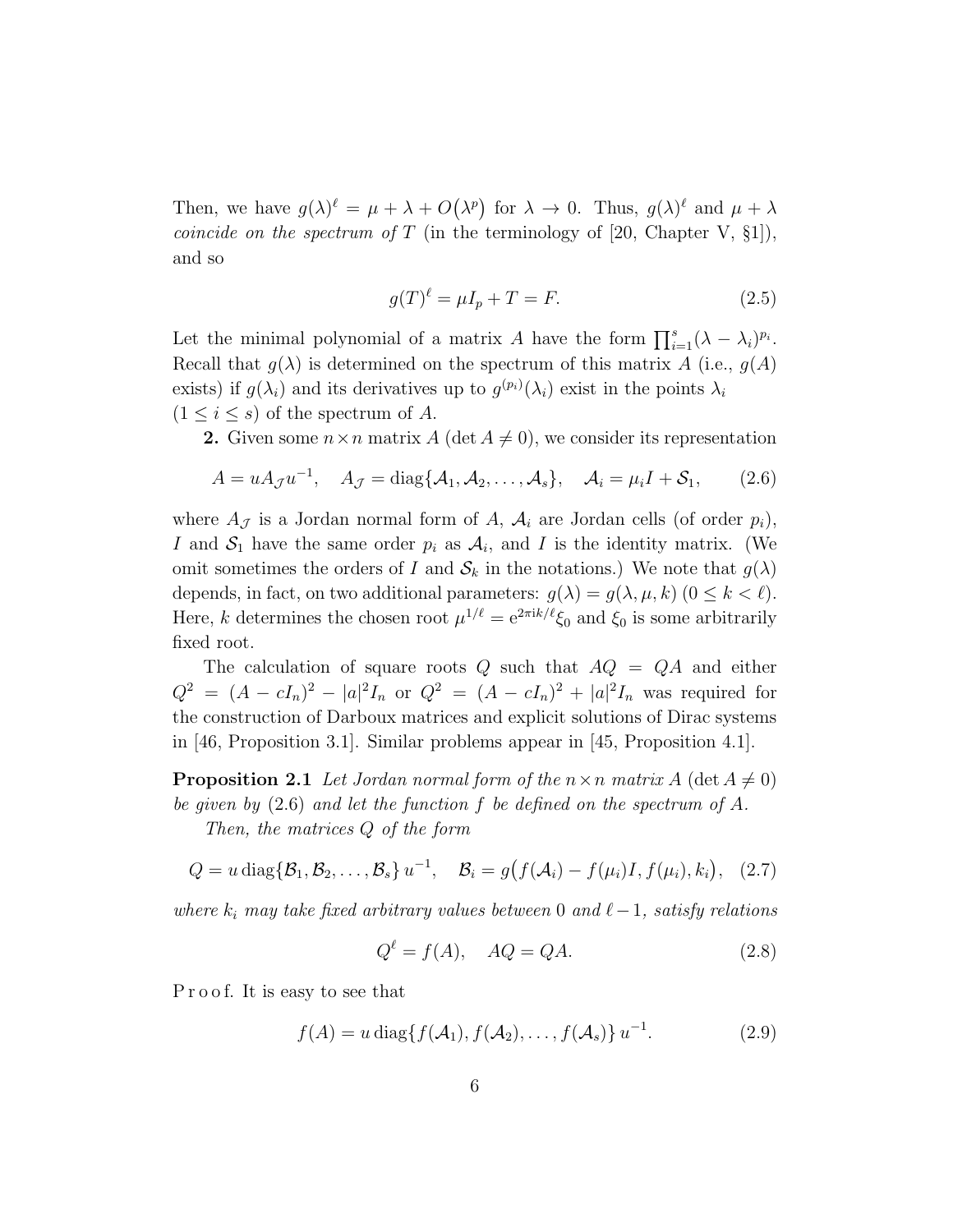Then, we have  $g(\lambda)^{\ell} = \mu + \lambda + O(\lambda^p)$  for  $\lambda \to 0$ . Thus,  $g(\lambda)^{\ell}$  and  $\mu + \lambda$ *coincide on the spectrum of* T (in the terminology of [20, Chapter V,  $\S1$ ]), and so

$$
g(T)^{\ell} = \mu I_p + T = F. \tag{2.5}
$$

Let the minimal polynomial of a matrix A have the form  $\prod_{i=1}^{s} (\lambda - \lambda_i)^{p_i}$ . Recall that  $g(\lambda)$  is determined on the spectrum of this matrix A (i.e.,  $g(A)$ ) exists) if  $g(\lambda_i)$  and its derivatives up to  $g^{(p_i)}(\lambda_i)$  exist in the points  $\lambda_i$  $(1 \leq i \leq s)$  of the spectrum of A.

**2.** Given some  $n \times n$  matrix A (det  $A \neq 0$ ), we consider its representation

$$
A = uA_{\mathcal{J}}u^{-1}, \quad A_{\mathcal{J}} = \text{diag}\{\mathcal{A}_1, \mathcal{A}_2, \dots, \mathcal{A}_s\}, \quad \mathcal{A}_i = \mu_i I + \mathcal{S}_1,\tag{2.6}
$$

where  $A_{\mathcal{J}}$  is a Jordan normal form of A,  $A_i$  are Jordan cells (of order  $p_i$ ), I and  $S_1$  have the same order  $p_i$  as  $A_i$ , and I is the identity matrix. (We omit sometimes the orders of I and  $S_k$  in the notations.) We note that  $g(\lambda)$ depends, in fact, on two additional parameters:  $g(\lambda) = g(\lambda, \mu, k)$   $(0 \leq k < \ell)$ . Here, k determines the chosen root  $\mu^{1/\ell} = e^{2\pi i k/\ell} \xi_0$  and  $\xi_0$  is some arbitrarily fixed root.

The calculation of square roots Q such that  $AQ = QA$  and either  $Q^2 = (A - cI_n)^2 - |a|^2I_n$  or  $Q^2 = (A - cI_n)^2 + |a|^2I_n$  was required for the construction of Darboux matrices and explicit solutions of Dirac systems in [46, Proposition 3.1]. Similar problems appear in [45, Proposition 4.1].

**Proposition 2.1** Let Jordan normal form of the  $n \times n$  matrix A (det  $A \neq 0$ ) be given by (2.6) and let the function f be defined on the spectrum of A.

Then, the matrices Q of the form

$$
Q = u \operatorname{diag}\{\mathcal{B}_1, \mathcal{B}_2, \dots, \mathcal{B}_s\} u^{-1}, \quad \mathcal{B}_i = g\big(f(\mathcal{A}_i) - f(\mu_i)I, f(\mu_i), k_i\big), \quad (2.7)
$$

where  $k_i$  may take fixed arbitrary values between 0 and  $\ell-1$ , satisfy relations

$$
Q^{\ell} = f(A), \quad AQ = QA.
$$
\n(2.8)

Proof. It is easy to see that

$$
f(A) = u \operatorname{diag} \{ f(A_1), f(A_2), \dots, f(A_s) \} u^{-1}.
$$
 (2.9)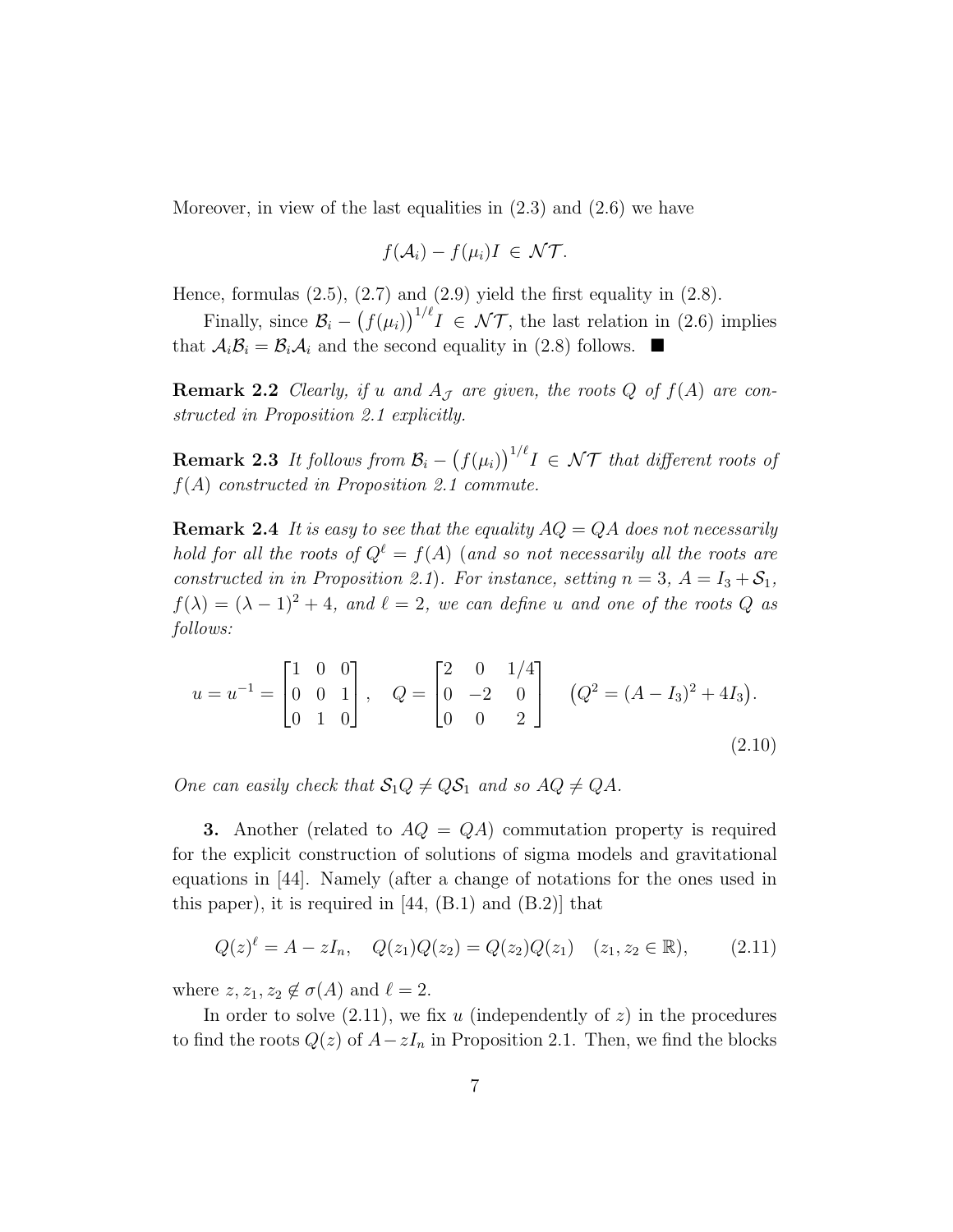Moreover, in view of the last equalities in  $(2.3)$  and  $(2.6)$  we have

$$
f(\mathcal{A}_i) - f(\mu_i)I \in \mathcal{NT}.
$$

Hence, formulas  $(2.5)$ ,  $(2.7)$  and  $(2.9)$  yield the first equality in  $(2.8)$ .

Finally, since  $\mathcal{B}_i - (f(\mu_i))^{1/\ell} I \in \mathcal{NT}$ , the last relation in (2.6) implies that  $A_i B_i = B_i A_i$  and the second equality in (2.8) follows.

**Remark 2.2** Clearly, if u and  $A_{\mathcal{J}}$  are given, the roots Q of  $f(A)$  are constructed in Proposition 2.1 explicitly.

**Remark 2.3** It follows from  $\mathcal{B}_i - (f(\mu_i))^{1/\ell}I \in \mathcal{NT}$  that different roots of  $f(A)$  constructed in Proposition 2.1 commute.

**Remark 2.4** It is easy to see that the equality  $AQ = QA$  does not necessarily hold for all the roots of  $Q^{\ell} = f(A)$  (and so not necessarily all the roots are constructed in in Proposition 2.1). For instance, setting  $n = 3$ ,  $A = I_3 + S_1$ ,  $f(\lambda) = (\lambda - 1)^2 + 4$ , and  $\ell = 2$ , we can define u and one of the roots Q as follows:

$$
u = u^{-1} = \begin{bmatrix} 1 & 0 & 0 \\ 0 & 0 & 1 \\ 0 & 1 & 0 \end{bmatrix}, \quad Q = \begin{bmatrix} 2 & 0 & 1/4 \\ 0 & -2 & 0 \\ 0 & 0 & 2 \end{bmatrix} \quad (Q^2 = (A - I_3)^2 + 4I_3).
$$
\n(2.10)

One can easily check that  $S_1Q \neq QS_1$  and so  $AQ \neq QA$ .

**3.** Another (related to  $AQ = QA$ ) commutation property is required for the explicit construction of solutions of sigma models and gravitational equations in [44]. Namely (after a change of notations for the ones used in this paper), it is required in  $[44, (B.1)$  and  $(B.2)]$  that

$$
Q(z)^{\ell} = A - zI_n, \quad Q(z_1)Q(z_2) = Q(z_2)Q(z_1) \quad (z_1, z_2 \in \mathbb{R}), \tag{2.11}
$$

where  $z, z_1, z_2 \notin \sigma(A)$  and  $\ell = 2$ .

In order to solve  $(2.11)$ , we fix u (independently of z) in the procedures to find the roots  $Q(z)$  of  $A-zI_n$  in Proposition 2.1. Then, we find the blocks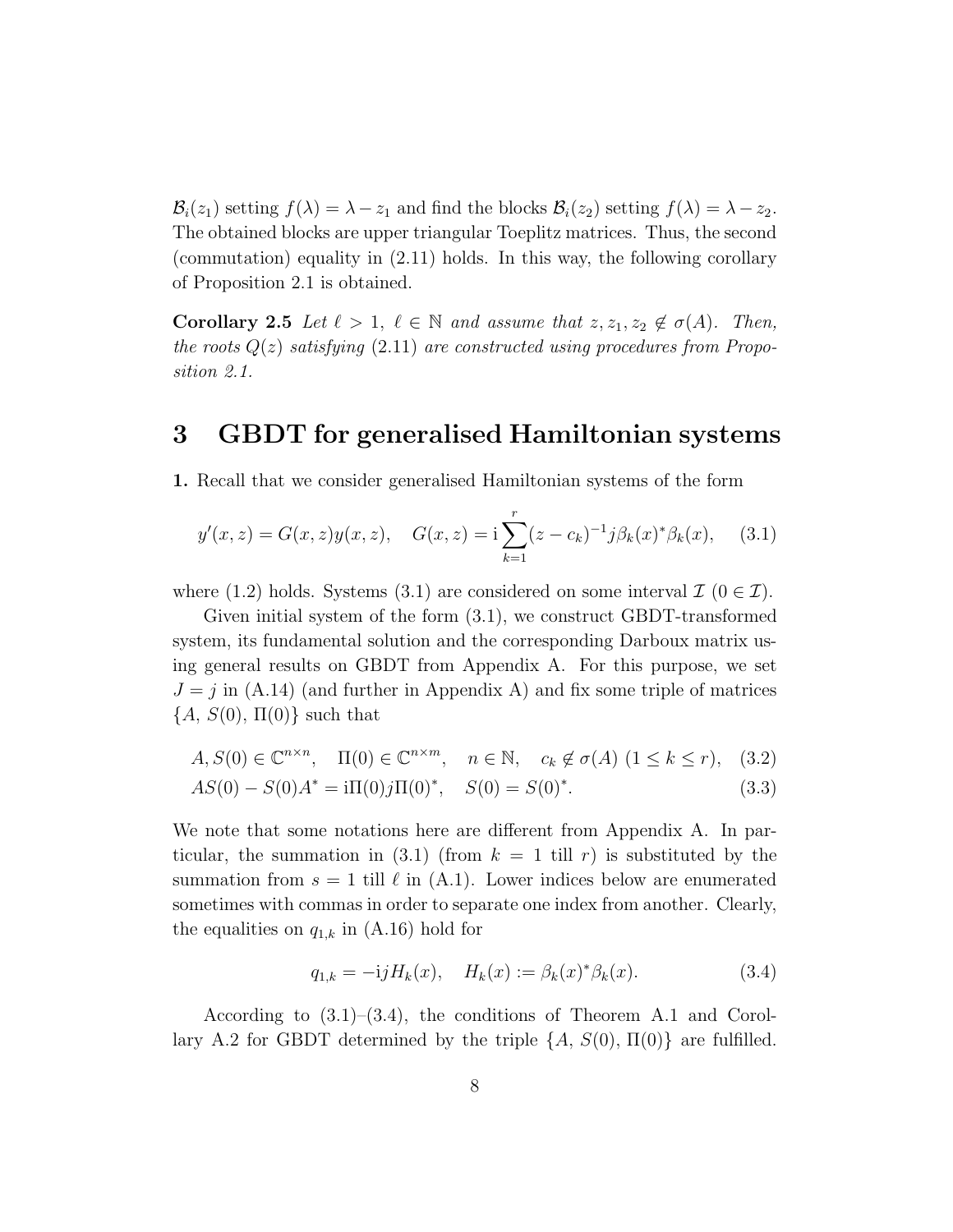$\mathcal{B}_i(z_1)$  setting  $f(\lambda) = \lambda - z_1$  and find the blocks  $\mathcal{B}_i(z_2)$  setting  $f(\lambda) = \lambda - z_2$ . The obtained blocks are upper triangular Toeplitz matrices. Thus, the second (commutation) equality in (2.11) holds. In this way, the following corollary of Proposition 2.1 is obtained.

**Corollary 2.5** Let  $\ell > 1$ ,  $\ell \in \mathbb{N}$  and assume that  $z, z_1, z_2 \notin \sigma(A)$ . Then, the roots  $Q(z)$  satisfying (2.11) are constructed using procedures from Proposition 2.1.

# 3 GBDT for generalised Hamiltonian systems

1. Recall that we consider generalised Hamiltonian systems of the form

$$
y'(x, z) = G(x, z)y(x, z), \quad G(x, z) = \mathbf{i} \sum_{k=1}^{r} (z - c_k)^{-1} j \beta_k(x)^* \beta_k(x), \quad (3.1)
$$

where (1.2) holds. Systems (3.1) are considered on some interval  $\mathcal{I}$  ( $0 \in \mathcal{I}$ ).

Given initial system of the form (3.1), we construct GBDT-transformed system, its fundamental solution and the corresponding Darboux matrix using general results on GBDT from Appendix A. For this purpose, we set  $J = j$  in (A.14) (and further in Appendix A) and fix some triple of matrices  ${A, S(0), \Pi(0)}$  such that

$$
A, S(0) \in \mathbb{C}^{n \times n}, \quad \Pi(0) \in \mathbb{C}^{n \times m}, \quad n \in \mathbb{N}, \quad c_k \notin \sigma(A) \ (1 \le k \le r), \quad (3.2)
$$

$$
AS(0) - S(0)A^* = i\Pi(0)j\Pi(0)^*, \quad S(0) = S(0)^*.
$$
(3.3)

We note that some notations here are different from Appendix A. In particular, the summation in  $(3.1)$  (from  $k = 1$  till r) is substituted by the summation from  $s = 1$  till  $\ell$  in  $(A.1)$ . Lower indices below are enumerated sometimes with commas in order to separate one index from another. Clearly, the equalities on  $q_{1,k}$  in (A.16) hold for

$$
q_{1,k} = -i j H_k(x), \quad H_k(x) := \beta_k(x)^* \beta_k(x). \tag{3.4}
$$

According to (3.1)–(3.4), the conditions of Theorem A.1 and Corollary A.2 for GBDT determined by the triple  $\{A, S(0), \Pi(0)\}\$ are fulfilled.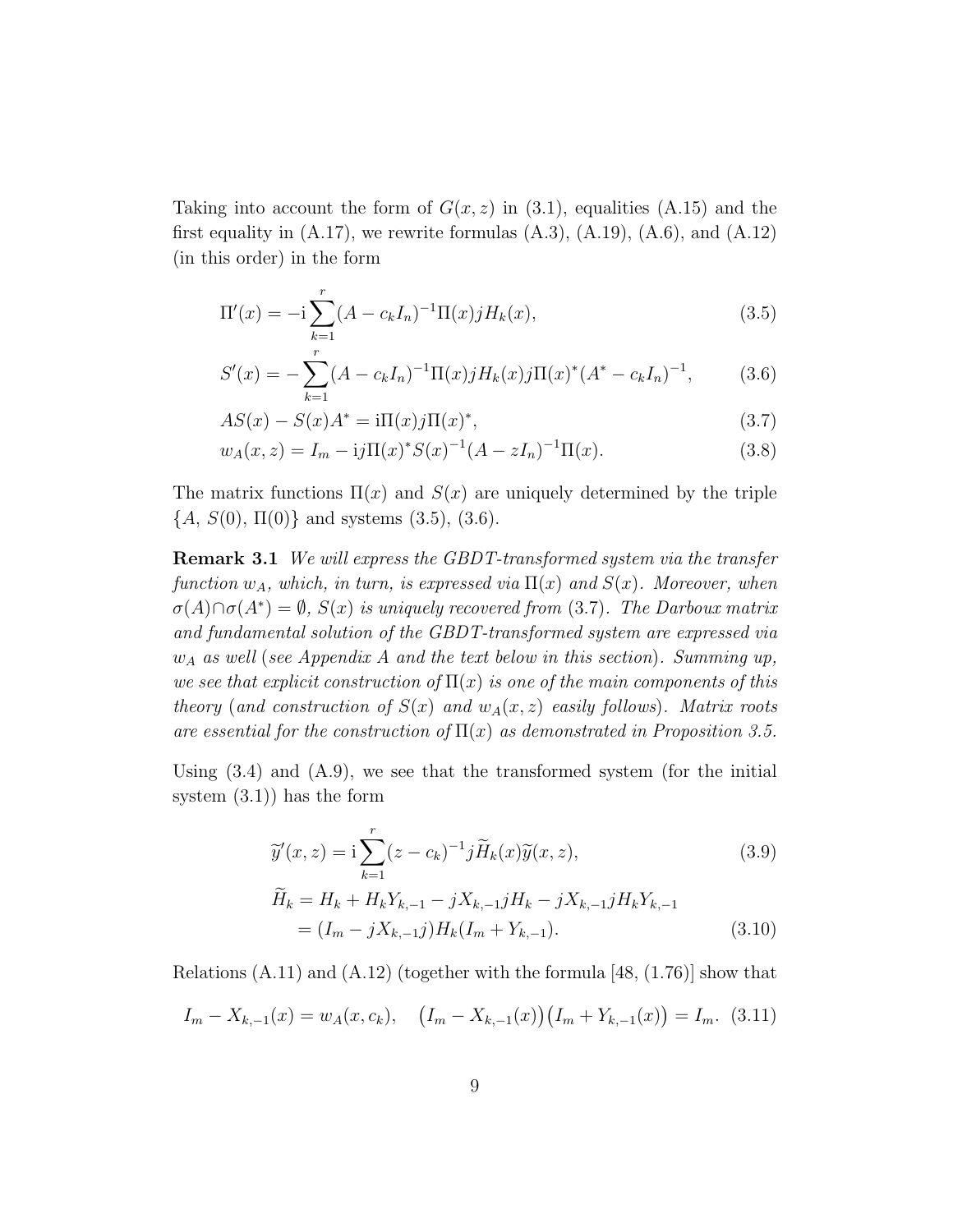Taking into account the form of  $G(x, z)$  in (3.1), equalities (A.15) and the first equality in  $(A.17)$ , we rewrite formulas  $(A.3)$ ,  $(A.19)$ ,  $(A.6)$ , and  $(A.12)$ (in this order) in the form

$$
\Pi'(x) = -i \sum_{k=1}^{r} (A - c_k I_n)^{-1} \Pi(x) j H_k(x), \qquad (3.5)
$$

$$
S'(x) = -\sum_{k=1}^{r} (A - c_k I_n)^{-1} \Pi(x) j H_k(x) j \Pi(x)^{*} (A^{*} - c_k I_n)^{-1}, \qquad (3.6)
$$

$$
AS(x) - S(x)A^* = i\Pi(x)j\Pi(x)^*,
$$
\n(3.7)

$$
w_A(x, z) = I_m - i j \Pi(x)^* S(x)^{-1} (A - z I_n)^{-1} \Pi(x).
$$
 (3.8)

The matrix functions  $\Pi(x)$  and  $S(x)$  are uniquely determined by the triple  ${A, S(0), \Pi(0)}$  and systems (3.5), (3.6).

Remark 3.1 We will express the GBDT-transformed system via the transfer function  $w_A$ , which, in turn, is expressed via  $\Pi(x)$  and  $S(x)$ . Moreover, when  $\sigma(A) \cap \sigma(A^*) = \emptyset$ ,  $S(x)$  is uniquely recovered from (3.7). The Darboux matrix and fundamental solution of the GBDT-transformed system are expressed via  $w_A$  as well (see Appendix A and the text below in this section). Summing up, we see that explicit construction of  $\Pi(x)$  is one of the main components of this theory (and construction of  $S(x)$  and  $w<sub>A</sub>(x, z)$  easily follows). Matrix roots are essential for the construction of  $\Pi(x)$  as demonstrated in Proposition 3.5.

Using  $(3.4)$  and  $(A.9)$ , we see that the transformed system (for the initial system (3.1)) has the form

$$
\widetilde{y}'(x,z) = i \sum_{k=1}^{r} (z - c_k)^{-1} j \widetilde{H}_k(x) \widetilde{y}(x,z), \qquad (3.9)
$$

$$
\widetilde{H}_k = H_k + H_k Y_{k,-1} - jX_{k,-1}jH_k - jX_{k,-1}jH_kY_{k,-1}
$$
\n
$$
= (I_m - jX_{k,-1}j)H_k(I_m + Y_{k,-1}). \tag{3.10}
$$

Relations  $(A.11)$  and  $(A.12)$  (together with the formula [48,  $(1.76)$ ] show that

$$
I_m - X_{k-1}(x) = w_A(x, c_k), \quad (I_m - X_{k-1}(x))(I_m + Y_{k-1}(x)) = I_m. \tag{3.11}
$$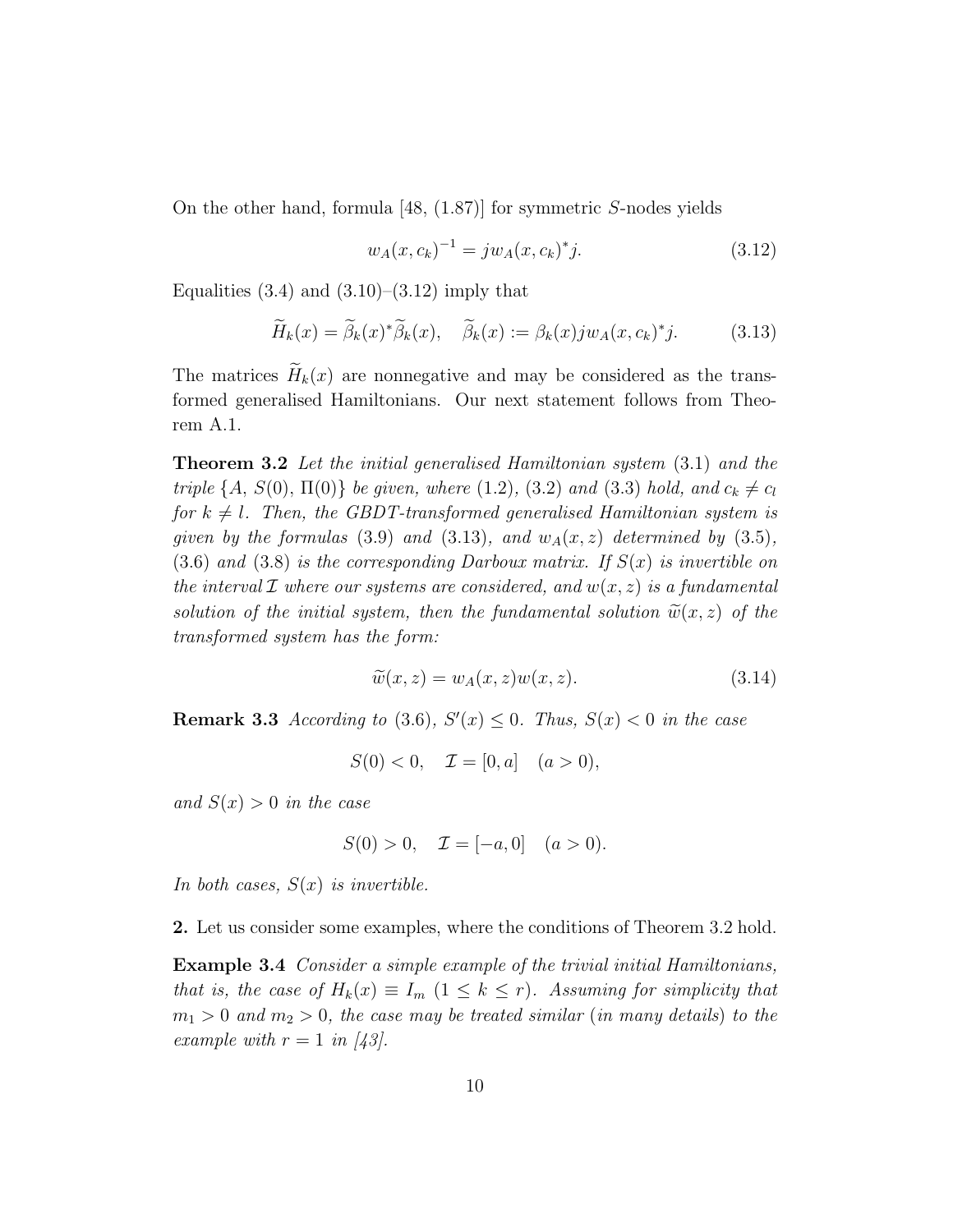On the other hand, formula [48, (1.87)] for symmetric S-nodes yields

$$
w_A(x, c_k)^{-1} = j w_A(x, c_k)^* j.
$$
\n(3.12)

Equalities  $(3.4)$  and  $(3.10)$ – $(3.12)$  imply that

$$
\widetilde{H}_k(x) = \widetilde{\beta}_k(x)^* \widetilde{\beta}_k(x), \quad \widetilde{\beta}_k(x) := \beta_k(x) j w_A(x, c_k)^* j. \tag{3.13}
$$

The matrices  $\widetilde{H}_k(x)$  are nonnegative and may be considered as the transformed generalised Hamiltonians. Our next statement follows from Theorem A.1.

Theorem 3.2 Let the initial generalised Hamiltonian system (3.1) and the triple {A, S(0),  $\Pi(0)$ } be given, where (1.2), (3.2) and (3.3) hold, and  $c_k \neq c_l$ for  $k \neq l$ . Then, the GBDT-transformed generalised Hamiltonian system is given by the formulas (3.9) and (3.13), and  $w<sub>A</sub>(x, z)$  determined by (3.5),  $(3.6)$  and  $(3.8)$  is the corresponding Darboux matrix. If  $S(x)$  is invertible on the interval  $\mathcal I$  where our systems are considered, and  $w(x, z)$  is a fundamental solution of the initial system, then the fundamental solution  $\widetilde{w}(x, z)$  of the transformed system has the form:

$$
\widetilde{w}(x,z) = w_A(x,z)w(x,z). \tag{3.14}
$$

**Remark 3.3** According to (3.6),  $S'(x) \leq 0$ . Thus,  $S(x) < 0$  in the case

$$
S(0) < 0, \quad \mathcal{I} = [0, a] \quad (a > 0),
$$

and  $S(x) > 0$  in the case

$$
S(0) > 0, \quad \mathcal{I} = [-a, 0] \quad (a > 0).
$$

In both cases,  $S(x)$  is invertible.

2. Let us consider some examples, where the conditions of Theorem 3.2 hold.

Example 3.4 Consider a simple example of the trivial initial Hamiltonians, that is, the case of  $H_k(x) \equiv I_m$   $(1 \leq k \leq r)$ . Assuming for simplicity that  $m_1 > 0$  and  $m_2 > 0$ , the case may be treated similar (in many details) to the example with  $r = 1$  in [43].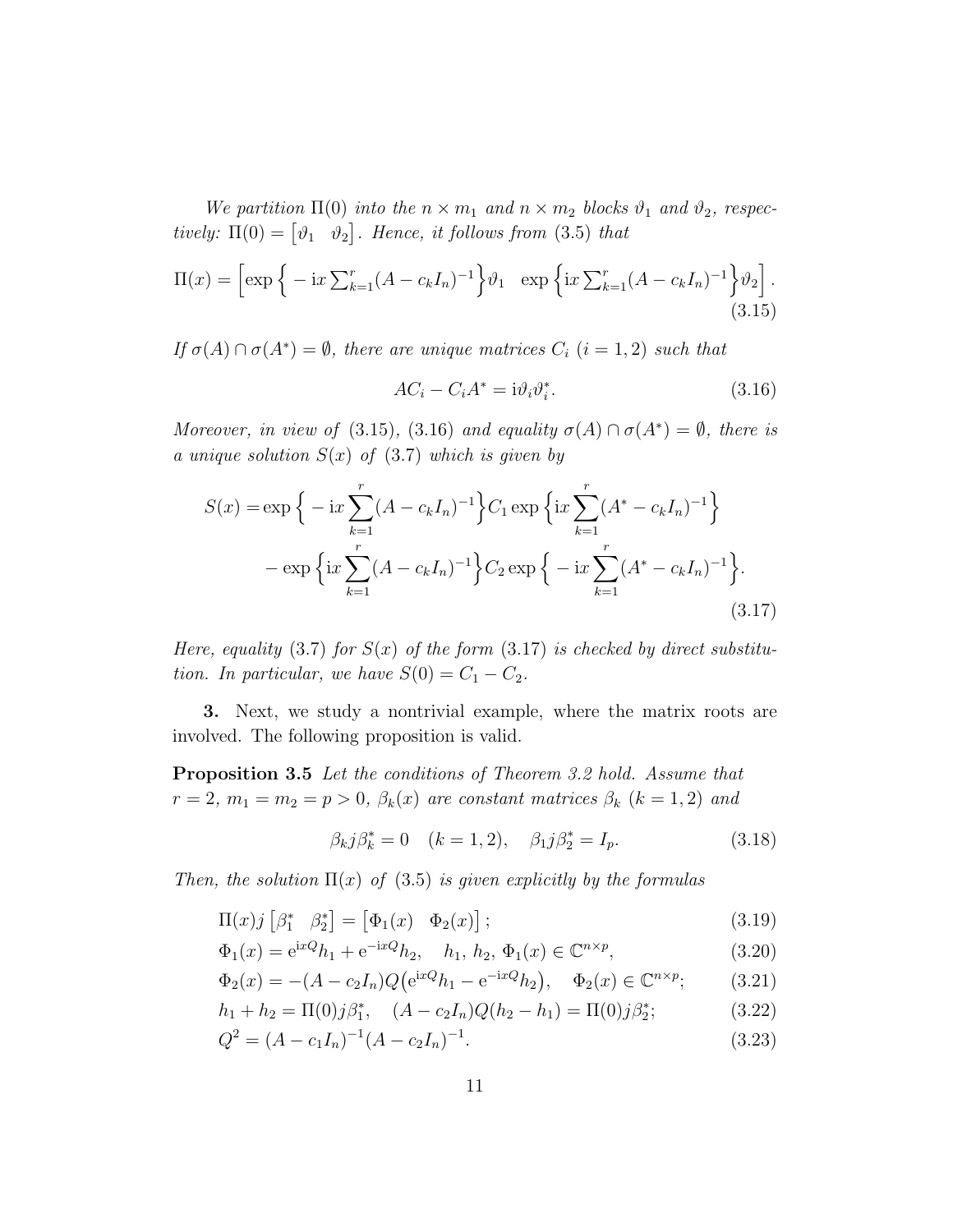We partition  $\Pi(0)$  into the  $n \times m_1$  and  $n \times m_2$  blocks  $\vartheta_1$  and  $\vartheta_2$ , respectively:  $\Pi(0) = \begin{bmatrix} \vartheta_1 & \vartheta_2 \end{bmatrix}$ . Hence, it follows from (3.5) that

$$
\Pi(x) = \left[ \exp \left\{ -ix \sum_{k=1}^{r} (A - c_k I_n)^{-1} \right\} \vartheta_1 \; \exp \left\{ ix \sum_{k=1}^{r} (A - c_k I_n)^{-1} \right\} \vartheta_2 \right].
$$
\n(3.15)

If  $\sigma(A) \cap \sigma(A^*) = \emptyset$ , there are unique matrices  $C_i$   $(i = 1, 2)$  such that

$$
AC_i - C_i A^* = i \vartheta_i \vartheta_i^*.
$$
\n(3.16)

Moreover, in view of (3.15), (3.16) and equality  $\sigma(A) \cap \sigma(A^*) = \emptyset$ , there is a unique solution  $S(x)$  of  $(3.7)$  which is given by

$$
S(x) = \exp\left\{-ix\sum_{k=1}^{r} (A - c_k I_n)^{-1}\right\} C_1 \exp\left\{ix\sum_{k=1}^{r} (A^* - c_k I_n)^{-1}\right\}
$$

$$
- \exp\left\{ix\sum_{k=1}^{r} (A - c_k I_n)^{-1}\right\} C_2 \exp\left\{-ix\sum_{k=1}^{r} (A^* - c_k I_n)^{-1}\right\}. \tag{3.17}
$$

Here, equality (3.7) for  $S(x)$  of the form (3.17) is checked by direct substitution. In particular, we have  $S(0) = C_1 - C_2$ .

3. Next, we study a nontrivial example, where the matrix roots are involved. The following proposition is valid.

Proposition 3.5 Let the conditions of Theorem 3.2 hold. Assume that  $r = 2, m_1 = m_2 = p > 0, \ \beta_k(x)$  are constant matrices  $\beta_k$   $(k = 1, 2)$  and

$$
\beta_k j \beta_k^* = 0 \quad (k = 1, 2), \quad \beta_1 j \beta_2^* = I_p.
$$
 (3.18)

Then, the solution  $\Pi(x)$  of (3.5) is given explicitly by the formulas

$$
\Pi(x)j\begin{bmatrix} \beta_1^* & \beta_2^* \end{bmatrix} = \begin{bmatrix} \Phi_1(x) & \Phi_2(x) \end{bmatrix};\tag{3.19}
$$

$$
\Phi_1(x) = e^{ixQ}h_1 + e^{-ixQ}h_2, \quad h_1, h_2, \Phi_1(x) \in \mathbb{C}^{n \times p}, \tag{3.20}
$$

$$
\Phi_2(x) = -(A - c_2 I_n) Q(e^{ixQ} h_1 - e^{-ixQ} h_2), \quad \Phi_2(x) \in \mathbb{C}^{n \times p};\tag{3.21}
$$

$$
h_1 + h_2 = \Pi(0)j\beta_1^*, \quad (A - c_2 I_n)Q(h_2 - h_1) = \Pi(0)j\beta_2^*;
$$
\n(3.22)

$$
Q^2 = (A - c_1 I_n)^{-1} (A - c_2 I_n)^{-1}.
$$
\n(3.23)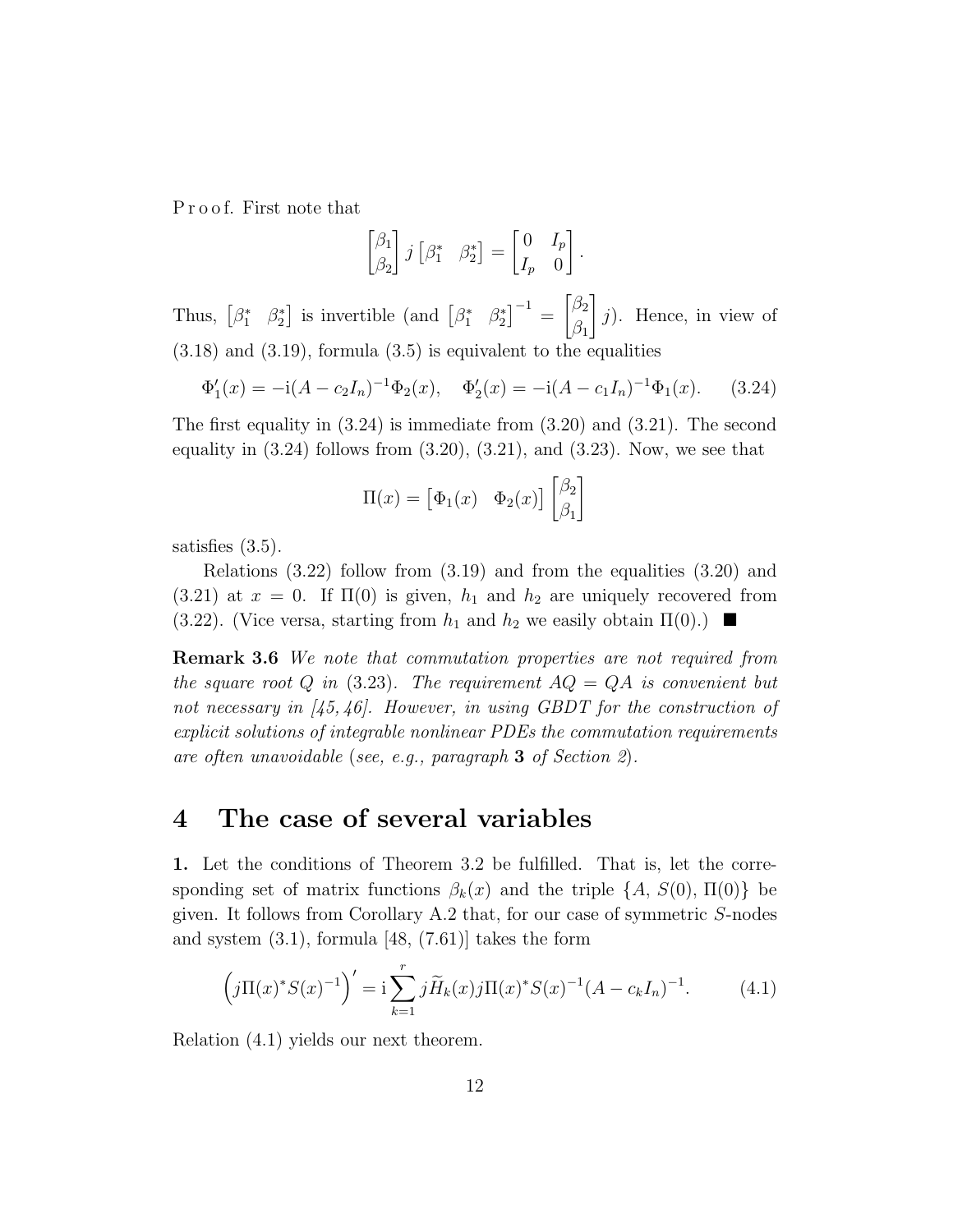P r o o f. First note that

$$
\begin{bmatrix} \beta_1 \\ \beta_2 \end{bmatrix} j \begin{bmatrix} \beta_1^* & \beta_2^* \end{bmatrix} = \begin{bmatrix} 0 & I_p \\ I_p & 0 \end{bmatrix}.
$$

Thus,  $\begin{bmatrix} \beta_1^* & \beta_2^* \end{bmatrix}$ <sup>\*</sup>/<sub>2</sub></sub> is invertible (and  $\begin{bmatrix} \beta_1^* & \beta_2^* \end{bmatrix}$  $\left[ \begin{smallmatrix} * \ 2 \end{smallmatrix} \right]^{-1} =$  $\lceil \beta_2$  $\beta_1$ 1 j). Hence, in view of  $(3.18)$  and  $(3.19)$ , formula  $(3.5)$  is equivalent to the equalities

$$
\Phi_1'(x) = -\mathrm{i}(A - c_2 I_n)^{-1} \Phi_2(x), \quad \Phi_2'(x) = -\mathrm{i}(A - c_1 I_n)^{-1} \Phi_1(x). \tag{3.24}
$$

The first equality in (3.24) is immediate from (3.20) and (3.21). The second equality in  $(3.24)$  follows from  $(3.20)$ ,  $(3.21)$ , and  $(3.23)$ . Now, we see that

$$
\Pi(x) = \begin{bmatrix} \Phi_1(x) & \Phi_2(x) \end{bmatrix} \begin{bmatrix} \beta_2 \\ \beta_1 \end{bmatrix}
$$

satisfies (3.5).

Relations  $(3.22)$  follow from  $(3.19)$  and from the equalities  $(3.20)$  and (3.21) at  $x = 0$ . If  $\Pi(0)$  is given,  $h_1$  and  $h_2$  are uniquely recovered from (3.22). (Vice versa, starting from  $h_1$  and  $h_2$  we easily obtain  $\Pi(0)$ .)

**Remark 3.6** We note that commutation properties are not required from the square root Q in  $(3.23)$ . The requirement  $AQ = QA$  is convenient but not necessary in  $\langle 45, 46 \rangle$ . However, in using GBDT for the construction of explicit solutions of integrable nonlinear PDEs the commutation requirements are often unavoidable (see, e.g., paragraph 3 of Section 2).

# 4 The case of several variables

1. Let the conditions of Theorem 3.2 be fulfilled. That is, let the corresponding set of matrix functions  $\beta_k(x)$  and the triple  $\{A, S(0), \Pi(0)\}\$  be given. It follows from Corollary A.2 that, for our case of symmetric S-nodes and system  $(3.1)$ , formula [48,  $(7.61)$ ] takes the form

$$
\left(j\Pi(x)^*S(x)^{-1}\right)' = \mathbf{i}\sum_{k=1}^r j\widetilde{H}_k(x)j\Pi(x)^*S(x)^{-1}(A - c_kI_n)^{-1}.\tag{4.1}
$$

Relation (4.1) yields our next theorem.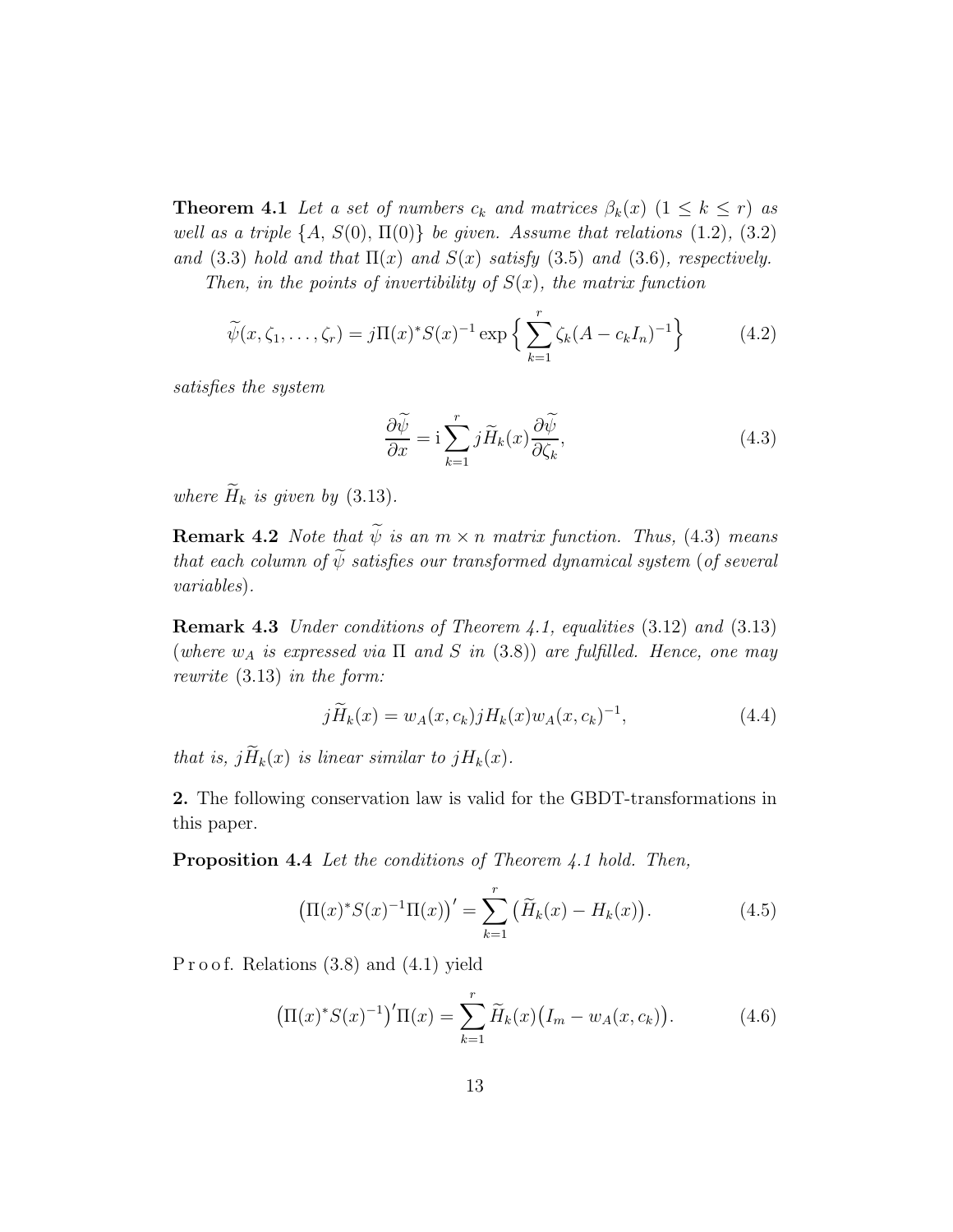**Theorem 4.1** Let a set of numbers  $c_k$  and matrices  $\beta_k(x)$   $(1 \leq k \leq r)$  as well as a triple  $\{A, S(0), \Pi(0)\}\$ be given. Assume that relations  $(1.2), (3.2)$ and (3.3) hold and that  $\Pi(x)$  and  $S(x)$  satisfy (3.5) and (3.6), respectively. Then, in the points of invertibility of  $S(x)$ , the matrix function

$$
\widetilde{\psi}(x,\zeta_1,\ldots,\zeta_r) = j\Pi(x)^* S(x)^{-1} \exp\left\{ \sum_{k=1}^r \zeta_k (A - c_k I_n)^{-1} \right\} \tag{4.2}
$$

satisfies the system

$$
\frac{\partial \widetilde{\psi}}{\partial x} = \mathbf{i} \sum_{k=1}^{r} j \widetilde{H}_k(x) \frac{\partial \widetilde{\psi}}{\partial \zeta_k},\tag{4.3}
$$

where  $\widetilde{H}_k$  is given by (3.13).

**Remark 4.2** Note that  $\widetilde{\psi}$  is an  $m \times n$  matrix function. Thus, (4.3) means that each column of  $\widetilde{\psi}$  satisfies our transformed dynamical system (of several variables).

Remark 4.3 Under conditions of Theorem 4.1, equalities (3.12) and (3.13) (where  $w_A$  is expressed via  $\Pi$  and  $S$  in (3.8)) are fulfilled. Hence, one may rewrite (3.13) in the form:

$$
j\widetilde{H}_k(x) = w_A(x, c_k)jH_k(x)w_A(x, c_k)^{-1},\tag{4.4}
$$

that is,  $j\widetilde{H}_k(x)$  is linear similar to  $jH_k(x)$ .

2. The following conservation law is valid for the GBDT-transformations in this paper.

Proposition 4.4 Let the conditions of Theorem 4.1 hold. Then,

$$
\left(\Pi(x)^* S(x)^{-1} \Pi(x)\right)' = \sum_{k=1}^r \left(\widetilde{H}_k(x) - H_k(x)\right). \tag{4.5}
$$

P r o o f. Relations  $(3.8)$  and  $(4.1)$  yield

$$
\left(\Pi(x)^* S(x)^{-1}\right)' \Pi(x) = \sum_{k=1}^r \widetilde{H}_k(x) \left(I_m - w_A(x, c_k)\right). \tag{4.6}
$$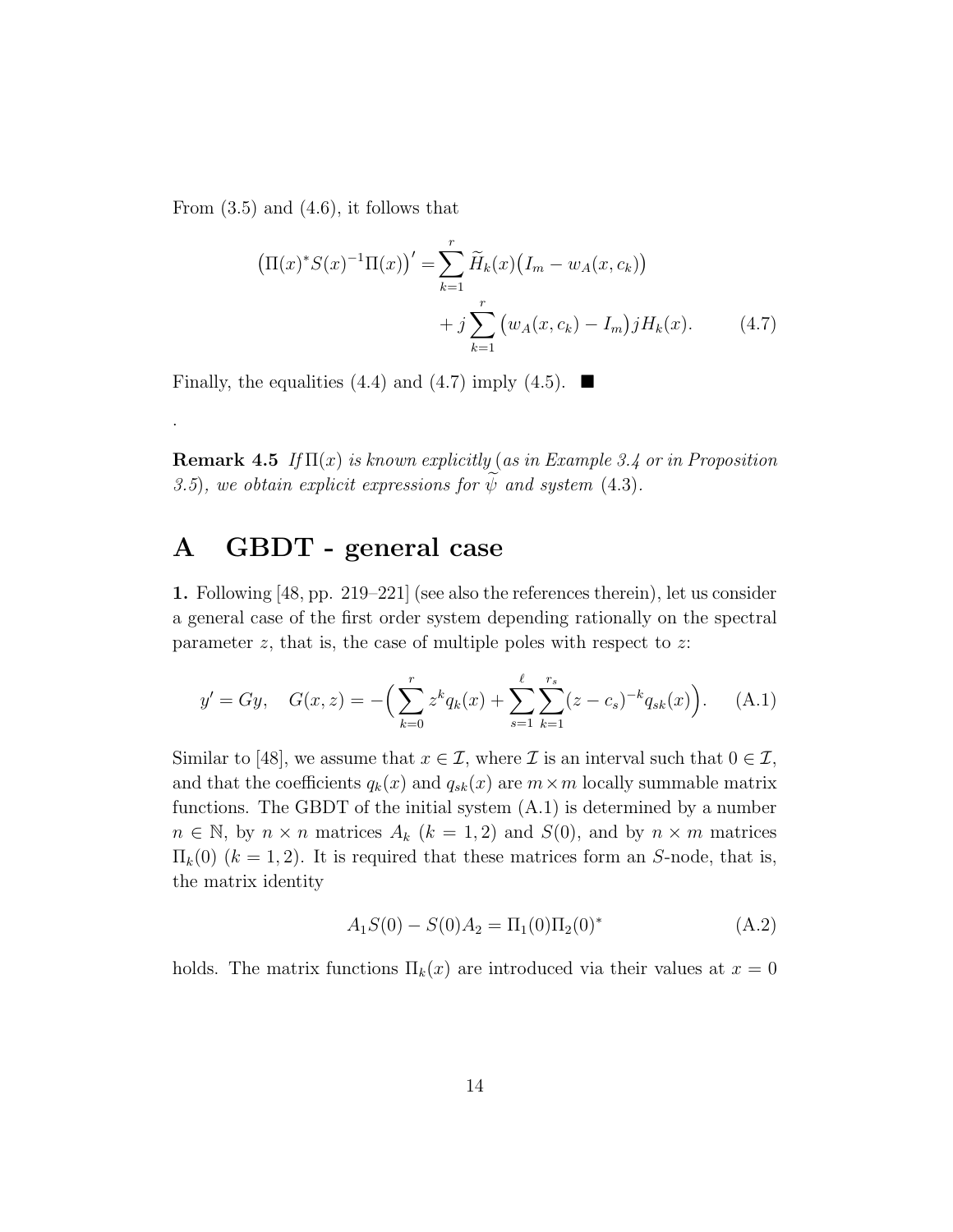From  $(3.5)$  and  $(4.6)$ , it follows that

.

$$
\left(\Pi(x)^* S(x)^{-1} \Pi(x)\right)' = \sum_{k=1}^r \widetilde{H}_k(x) \left(I_m - w_A(x, c_k)\right) + j \sum_{k=1}^r \left(w_A(x, c_k) - I_m\right) j H_k(x).
$$
 (4.7)

Finally, the equalities (4.4) and (4.7) imply (4.5).  $\blacksquare$ 

**Remark 4.5** If  $\Pi(x)$  is known explicitly (as in Example 3.4 or in Proposition 3.5), we obtain explicit expressions for  $\psi$  and system (4.3).

# A GBDT - general case

1. Following [48, pp. 219–221] (see also the references therein), let us consider a general case of the first order system depending rationally on the spectral parameter  $z$ , that is, the case of multiple poles with respect to  $z$ :

$$
y' = Gy, \quad G(x, z) = -\left(\sum_{k=0}^{r} z^k q_k(x) + \sum_{s=1}^{\ell} \sum_{k=1}^{r_s} (z - c_s)^{-k} q_{sk}(x)\right). \tag{A.1}
$$

Similar to [48], we assume that  $x \in \mathcal{I}$ , where  $\mathcal{I}$  is an interval such that  $0 \in \mathcal{I}$ , and that the coefficients  $q_k(x)$  and  $q_{sk}(x)$  are  $m \times m$  locally summable matrix functions. The GBDT of the initial system (A.1) is determined by a number  $n \in \mathbb{N}$ , by  $n \times n$  matrices  $A_k$   $(k = 1, 2)$  and  $S(0)$ , and by  $n \times m$  matrices  $\Pi_k(0)$   $(k = 1, 2)$ . It is required that these matrices form an S-node, that is, the matrix identity

$$
A_1 S(0) - S(0) A_2 = \Pi_1(0) \Pi_2(0)^*
$$
\n(A.2)

holds. The matrix functions  $\Pi_k(x)$  are introduced via their values at  $x = 0$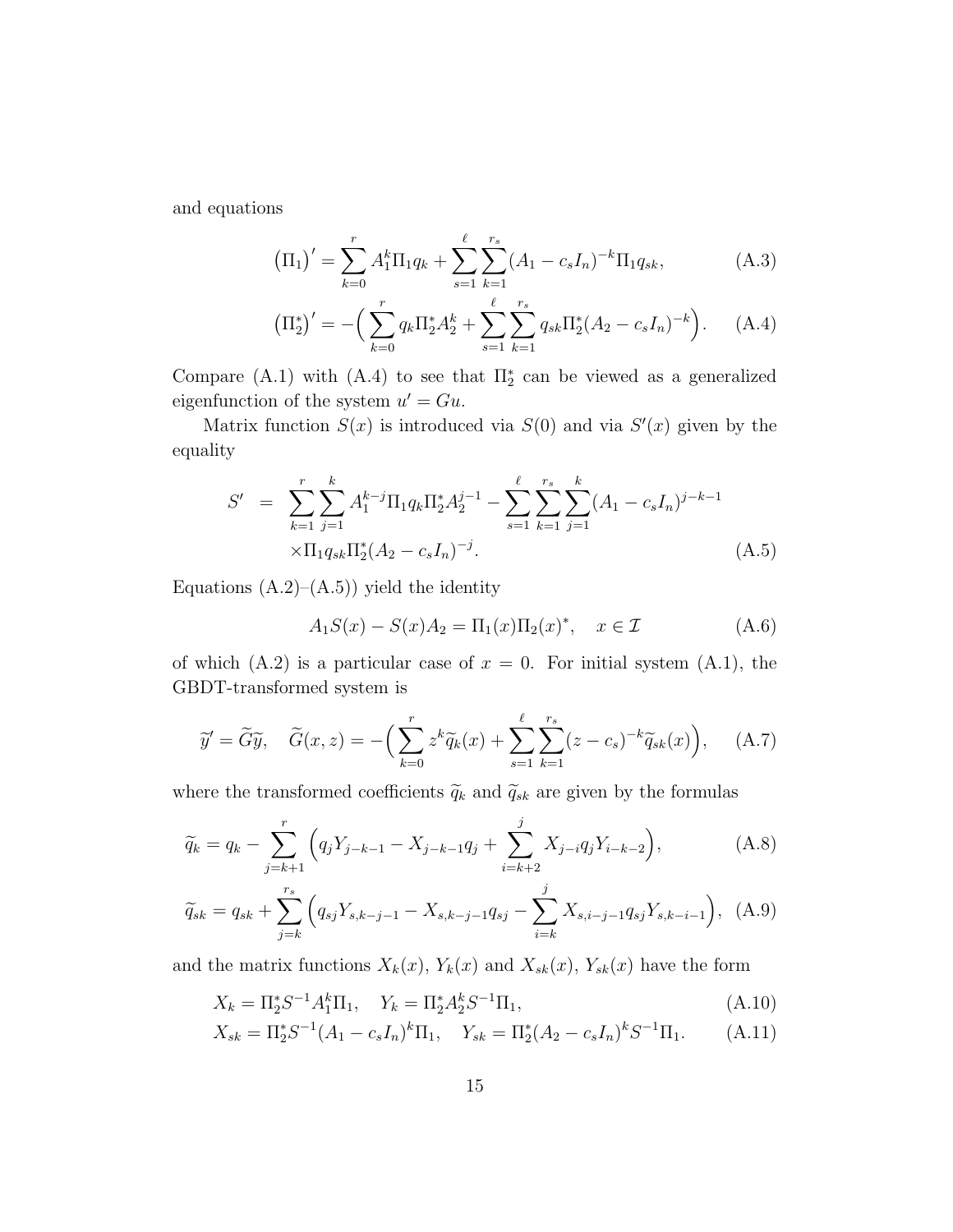and equations

$$
\left(\Pi_{1}\right)' = \sum_{k=0}^{r} A_{1}^{k} \Pi_{1} q_{k} + \sum_{s=1}^{\ell} \sum_{k=1}^{r_{s}} (A_{1} - c_{s} I_{n})^{-k} \Pi_{1} q_{sk}, \tag{A.3}
$$

$$
\left(\Pi_2^*\right)' = -\left(\sum_{k=0}^r q_k \Pi_2^* A_2^k + \sum_{s=1}^\ell \sum_{k=1}^{r_s} q_{sk} \Pi_2^*(A_2 - c_s I_n)^{-k}\right). \tag{A.4}
$$

Compare (A.1) with (A.4) to see that  $\Pi_2^*$  can be viewed as a generalized eigenfunction of the system  $u' = Gu$ .

Matrix function  $S(x)$  is introduced via  $S(0)$  and via  $S'(x)$  given by the equality

$$
S' = \sum_{k=1}^{r} \sum_{j=1}^{k} A_1^{k-j} \Pi_1 q_k \Pi_2^* A_2^{j-1} - \sum_{s=1}^{\ell} \sum_{k=1}^{r_s} \sum_{j=1}^{k} (A_1 - c_s I_n)^{j-k-1}
$$
  
 
$$
\times \Pi_1 q_{sk} \Pi_2^* (A_2 - c_s I_n)^{-j}.
$$
 (A.5)

Equations  $(A.2)$ – $(A.5)$ ) yield the identity

$$
A_1 S(x) - S(x) A_2 = \Pi_1(x) \Pi_2(x)^*, \quad x \in \mathcal{I}
$$
 (A.6)

of which  $(A.2)$  is a particular case of  $x = 0$ . For initial system  $(A.1)$ , the GBDT-transformed system is

$$
\widetilde{y}' = \widetilde{G}\widetilde{y}, \quad \widetilde{G}(x, z) = -\left(\sum_{k=0}^{r} z^k \widetilde{q}_k(x) + \sum_{s=1}^{\ell} \sum_{k=1}^{r_s} (z - c_s)^{-k} \widetilde{q}_{sk}(x)\right), \quad (A.7)
$$

where the transformed coefficients  $\widetilde{q}_k$  and  $\widetilde{q}_{sk}$  are given by the formulas

$$
\widetilde{q}_k = q_k - \sum_{j=k+1}^r \left( q_j Y_{j-k-1} - X_{j-k-1} q_j + \sum_{i=k+2}^j X_{j-i} q_j Y_{i-k-2} \right),\tag{A.8}
$$

$$
\widetilde{q}_{sk} = q_{sk} + \sum_{j=k}^{r_s} \left( q_{sj} Y_{s,k-j-1} - X_{s,k-j-1} q_{sj} - \sum_{i=k}^{j} X_{s,i-j-1} q_{sj} Y_{s,k-i-1} \right), \tag{A.9}
$$

and the matrix functions  $X_k(x)$ ,  $Y_k(x)$  and  $X_{sk}(x)$ ,  $Y_{sk}(x)$  have the form

$$
X_k = \Pi_2^* S^{-1} A_1^k \Pi_1, \quad Y_k = \Pi_2^* A_2^k S^{-1} \Pi_1,
$$
\n(A.10)

$$
X_{sk} = \Pi_2^* S^{-1} (A_1 - c_s I_n)^k \Pi_1, \quad Y_{sk} = \Pi_2^* (A_2 - c_s I_n)^k S^{-1} \Pi_1.
$$
 (A.11)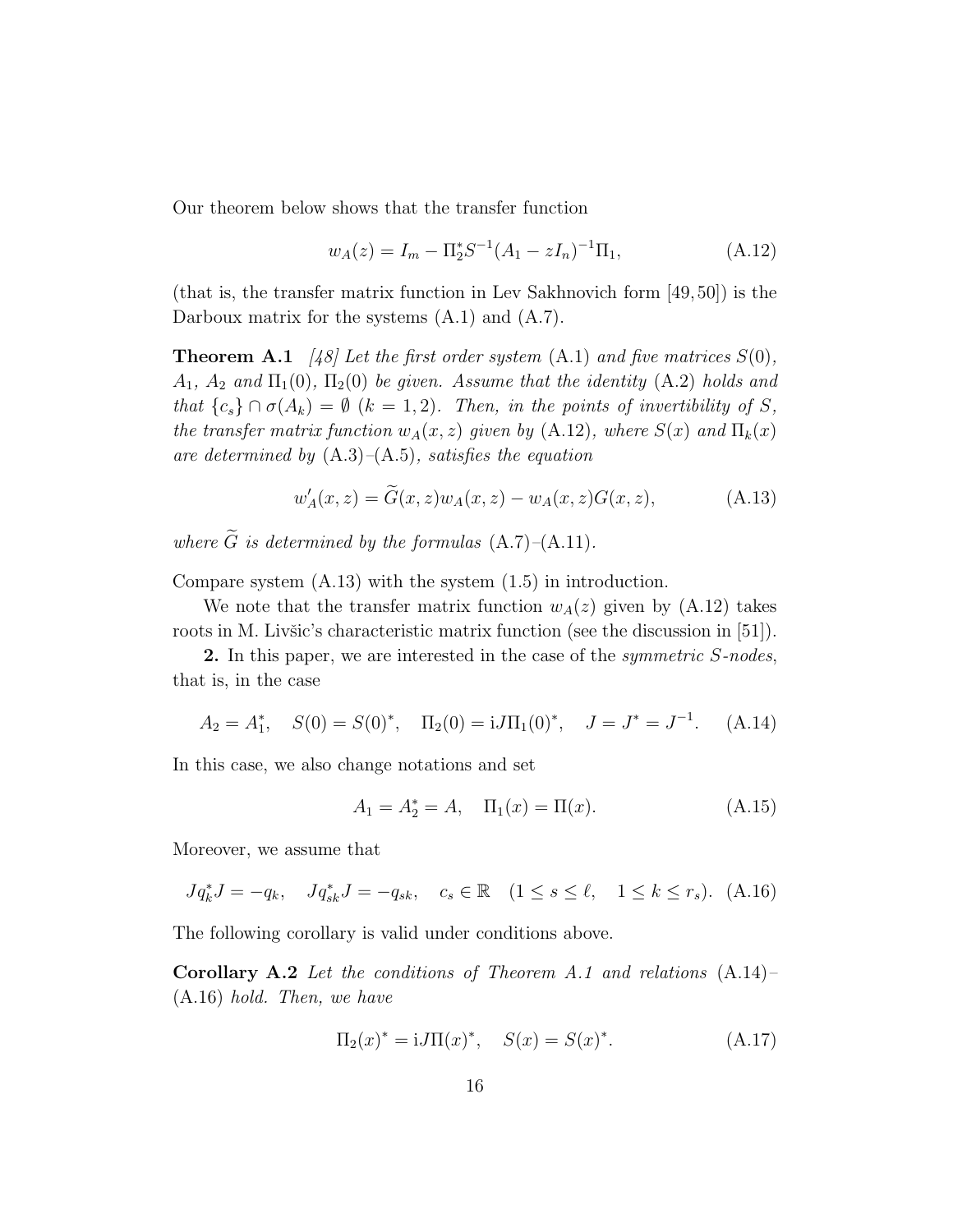Our theorem below shows that the transfer function

$$
w_A(z) = I_m - \Pi_2^* S^{-1} (A_1 - zI_n)^{-1} \Pi_1,
$$
\n(A.12)

(that is, the transfer matrix function in Lev Sakhnovich form [49,50]) is the Darboux matrix for the systems (A.1) and (A.7).

**Theorem A.1** [48] Let the first order system  $(A.1)$  and five matrices  $S(0)$ ,  $A_1$ ,  $A_2$  and  $\Pi_1(0)$ ,  $\Pi_2(0)$  be given. Assume that the identity (A.2) holds and that  ${c_s} \cap \sigma(A_k) = \emptyset$   $(k = 1, 2)$ . Then, in the points of invertibility of S, the transfer matrix function  $w_A(x, z)$  given by (A.12), where  $S(x)$  and  $\Pi_k(x)$ are determined by  $(A.3)$ – $(A.5)$ , satisfies the equation

$$
w_A'(x, z) = \widetilde{G}(x, z)w_A(x, z) - w_A(x, z)G(x, z), \tag{A.13}
$$

where  $\tilde{G}$  is determined by the formulas  $(A.7)$ – $(A.11)$ .

Compare system (A.13) with the system (1.5) in introduction.

We note that the transfer matrix function  $w_A(z)$  given by  $(A.12)$  takes roots in M. Livšic's characteristic matrix function (see the discussion in [51]).

2. In this paper, we are interested in the case of the *symmetric* S-nodes, that is, in the case

$$
A_2 = A_1^*,
$$
  $S(0) = S(0)^*,$   $\Pi_2(0) = iJ\Pi_1(0)^*,$   $J = J^* = J^{-1}.$  (A.14)

In this case, we also change notations and set

$$
A_1 = A_2^* = A, \quad \Pi_1(x) = \Pi(x). \tag{A.15}
$$

Moreover, we assume that

$$
Jq_k^* J = -q_k
$$
,  $Jq_{sk}^* J = -q_{sk}$ ,  $c_s \in \mathbb{R}$   $(1 \le s \le \ell, 1 \le k \le r_s)$ . (A.16)

The following corollary is valid under conditions above.

Corollary A.2 Let the conditions of Theorem A.1 and relations  $(A.14)$ -(A.16) hold. Then, we have

$$
\Pi_2(x)^* = iJ\Pi(x)^*, \quad S(x) = S(x)^*.
$$
 (A.17)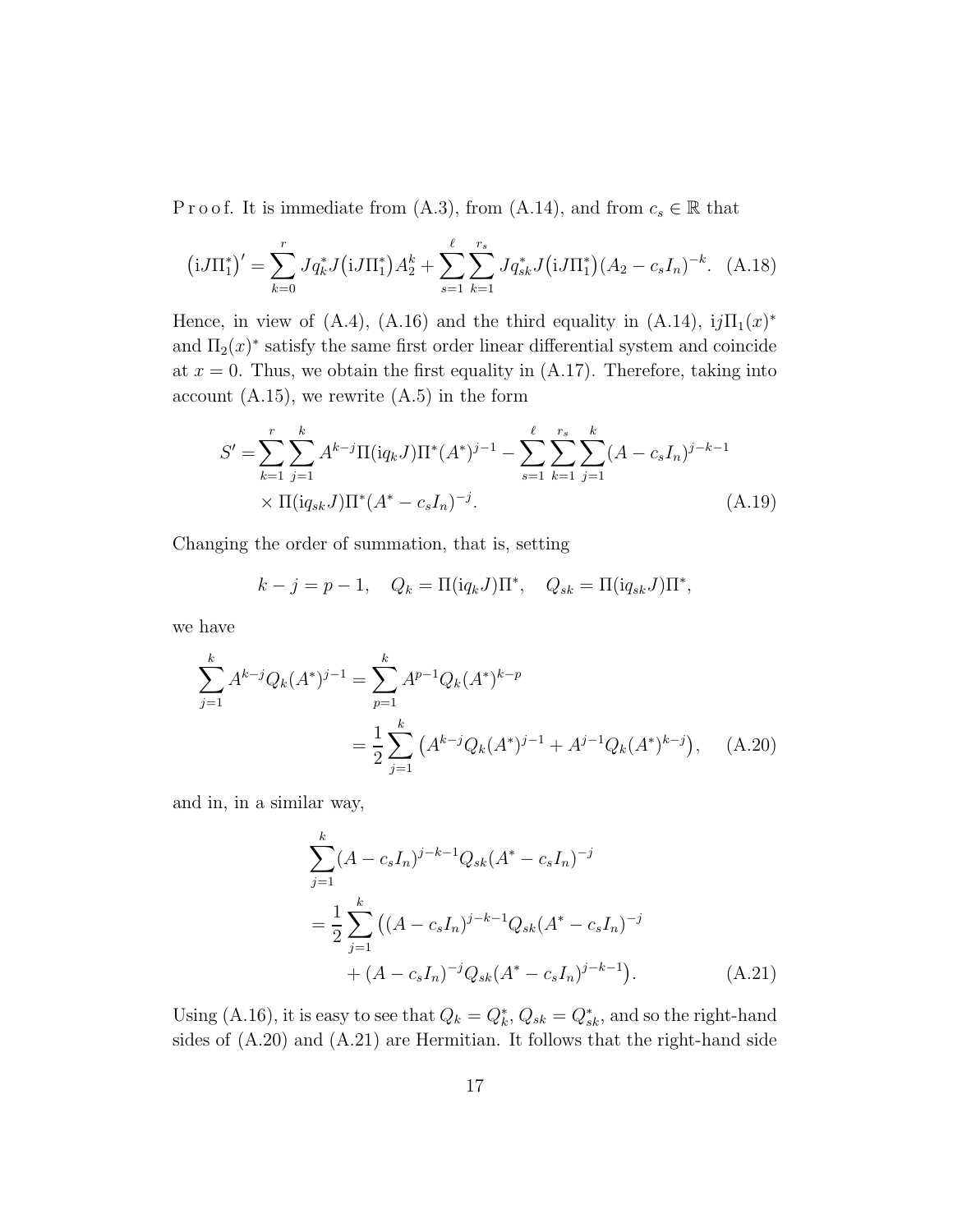P r o o f. It is immediate from (A.3), from (A.14), and from  $c_s \in \mathbb{R}$  that

$$
(iJ\Pi_1^*)' = \sum_{k=0}^r Jq_k^* J(iJ\Pi_1^*) A_2^k + \sum_{s=1}^\ell \sum_{k=1}^{r_s} Jq_{sk}^* J(iJ\Pi_1^*) (A_2 - c_s I_n)^{-k}.
$$
 (A.18)

Hence, in view of (A.4), (A.16) and the third equality in (A.14),  $i j \Pi_1(x)^*$ and  $\Pi_2(x)^*$  satisfy the same first order linear differential system and coincide at  $x = 0$ . Thus, we obtain the first equality in  $(A.17)$ . Therefore, taking into account  $(A.15)$ , we rewrite  $(A.5)$  in the form

$$
S' = \sum_{k=1}^{r} \sum_{j=1}^{k} A^{k-j} \Pi(iq_k J) \Pi^*(A^*)^{j-1} - \sum_{s=1}^{\ell} \sum_{k=1}^{r_s} \sum_{j=1}^{k} (A - c_s I_n)^{j-k-1}
$$
  
×  $\Pi(iq_{sk} J) \Pi^*(A^* - c_s I_n)^{-j}$ . (A.19)

Changing the order of summation, that is, setting

$$
k - j = p - 1, \quad Q_k = \Pi(\mathrm{i} q_k J) \Pi^*, \quad Q_{sk} = \Pi(\mathrm{i} q_{sk} J) \Pi^*,
$$

we have

$$
\sum_{j=1}^{k} A^{k-j} Q_k(A^*)^{j-1} = \sum_{p=1}^{k} A^{p-1} Q_k(A^*)^{k-p}
$$
  
= 
$$
\frac{1}{2} \sum_{j=1}^{k} (A^{k-j} Q_k(A^*)^{j-1} + A^{j-1} Q_k(A^*)^{k-j}), \quad (A.20)
$$

and in, in a similar way,

$$
\sum_{j=1}^{k} (A - c_s I_n)^{j-k-1} Q_{sk} (A^* - c_s I_n)^{-j}
$$
  
= 
$$
\frac{1}{2} \sum_{j=1}^{k} ((A - c_s I_n)^{j-k-1} Q_{sk} (A^* - c_s I_n)^{-j}
$$
  
+ 
$$
(A - c_s I_n)^{-j} Q_{sk} (A^* - c_s I_n)^{j-k-1}).
$$
 (A.21)

Using (A.16), it is easy to see that  $Q_k = Q_k^*$ ,  $Q_{sk} = Q_{sk}^*$ , and so the right-hand sides of (A.20) and (A.21) are Hermitian. It follows that the right-hand side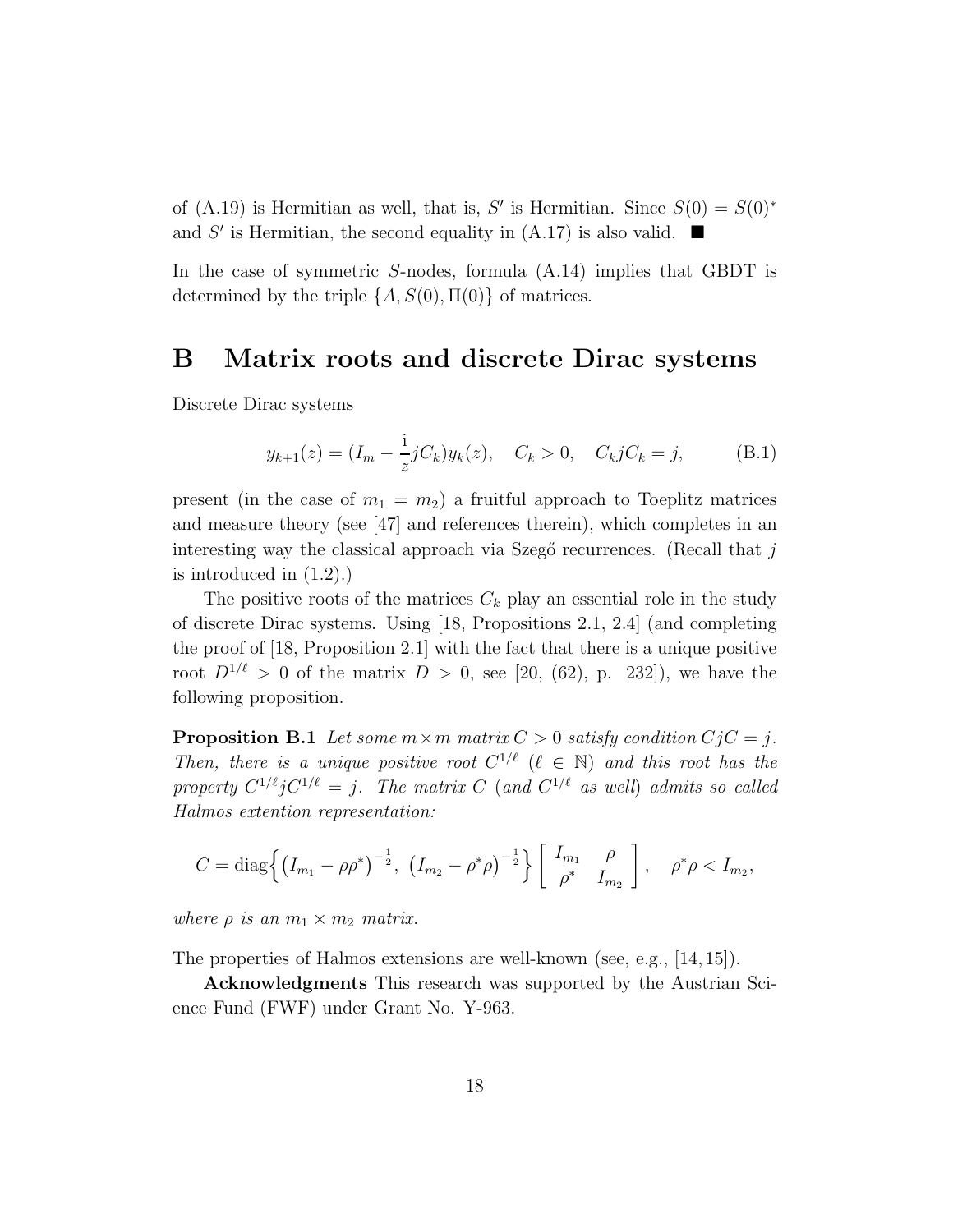of (A.19) is Hermitian as well, that is, S' is Hermitian. Since  $S(0) = S(0)^*$ and S' is Hermitian, the second equality in (A.17) is also valid.  $\blacksquare$ 

In the case of symmetric S-nodes, formula (A.14) implies that GBDT is determined by the triple  $\{A, S(0), \Pi(0)\}\$  of matrices.

### B Matrix roots and discrete Dirac systems

Discrete Dirac systems

$$
y_{k+1}(z) = (I_m - \frac{1}{z}jC_k)y_k(z), \quad C_k > 0, \quad C_k jC_k = j,
$$
 (B.1)

present (in the case of  $m_1 = m_2$ ) a fruitful approach to Toeplitz matrices and measure theory (see [47] and references therein), which completes in an interesting way the classical approach via Szegő recurrences. (Recall that  $j$ is introduced in (1.2).)

The positive roots of the matrices  $C_k$  play an essential role in the study of discrete Dirac systems. Using [18, Propositions 2.1, 2.4] (and completing the proof of [18, Proposition 2.1] with the fact that there is a unique positive root  $D^{1/\ell} > 0$  of the matrix  $D > 0$ , see [20, (62), p. 232]), we have the following proposition.

**Proposition B.1** Let some  $m \times m$  matrix  $C > 0$  satisfy condition  $C_j C = j$ . Then, there is a unique positive root  $C^{1/\ell}$  ( $\ell \in \mathbb{N}$ ) and this root has the property  $C^{1/\ell}$  j $C^{1/\ell} = j$ . The matrix C (and  $C^{1/\ell}$  as well) admits so called Halmos extention representation:

$$
C = \text{diag}\left\{ \left(I_{m_1} - \rho \rho^* \right)^{-\frac{1}{2}}, \ \left(I_{m_2} - \rho^* \rho \right)^{-\frac{1}{2}} \right\} \left[ \begin{array}{cc} I_{m_1} & \rho \\ \rho^* & I_{m_2} \end{array} \right], \ \ \rho^* \rho < I_{m_2},
$$

where  $\rho$  is an  $m_1 \times m_2$  matrix.

The properties of Halmos extensions are well-known (see, e.g., [14, 15]).

Acknowledgments This research was supported by the Austrian Science Fund (FWF) under Grant No. Y-963.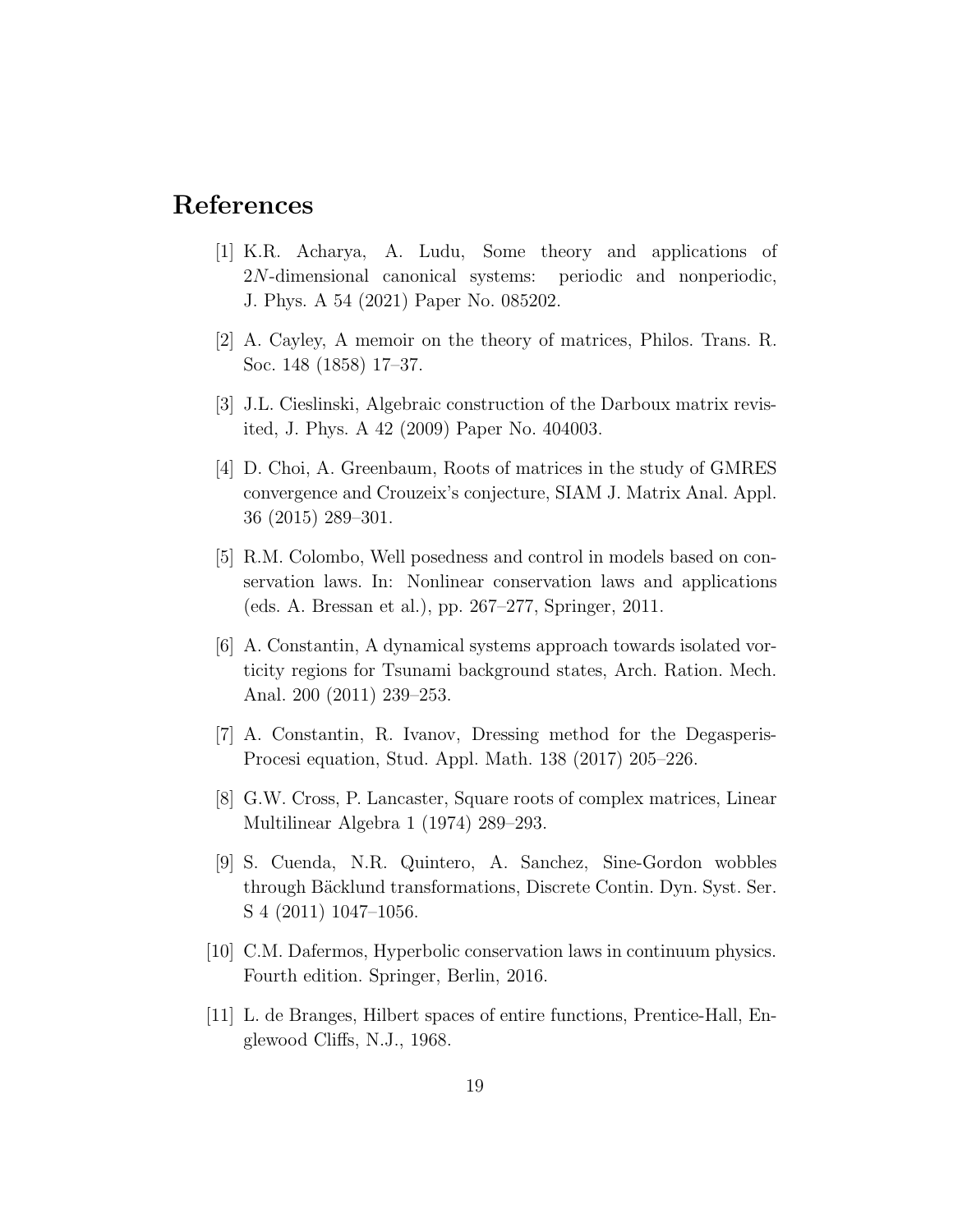# References

- [1] K.R. Acharya, A. Ludu, Some theory and applications of 2N-dimensional canonical systems: periodic and nonperiodic, J. Phys. A 54 (2021) Paper No. 085202.
- [2] A. Cayley, A memoir on the theory of matrices, Philos. Trans. R. Soc. 148 (1858) 17–37.
- [3] J.L. Cieslinski, Algebraic construction of the Darboux matrix revisited, J. Phys. A 42 (2009) Paper No. 404003.
- [4] D. Choi, A. Greenbaum, Roots of matrices in the study of GMRES convergence and Crouzeix's conjecture, SIAM J. Matrix Anal. Appl. 36 (2015) 289–301.
- [5] R.M. Colombo, Well posedness and control in models based on conservation laws. In: Nonlinear conservation laws and applications (eds. A. Bressan et al.), pp. 267–277, Springer, 2011.
- [6] A. Constantin, A dynamical systems approach towards isolated vorticity regions for Tsunami background states, Arch. Ration. Mech. Anal. 200 (2011) 239–253.
- [7] A. Constantin, R. Ivanov, Dressing method for the Degasperis-Procesi equation, Stud. Appl. Math. 138 (2017) 205–226.
- [8] G.W. Cross, P. Lancaster, Square roots of complex matrices, Linear Multilinear Algebra 1 (1974) 289–293.
- [9] S. Cuenda, N.R. Quintero, A. Sanchez, Sine-Gordon wobbles through Bäcklund transformations, Discrete Contin. Dyn. Syst. Ser. S 4 (2011) 1047–1056.
- [10] C.M. Dafermos, Hyperbolic conservation laws in continuum physics. Fourth edition. Springer, Berlin, 2016.
- [11] L. de Branges, Hilbert spaces of entire functions, Prentice-Hall, Englewood Cliffs, N.J., 1968.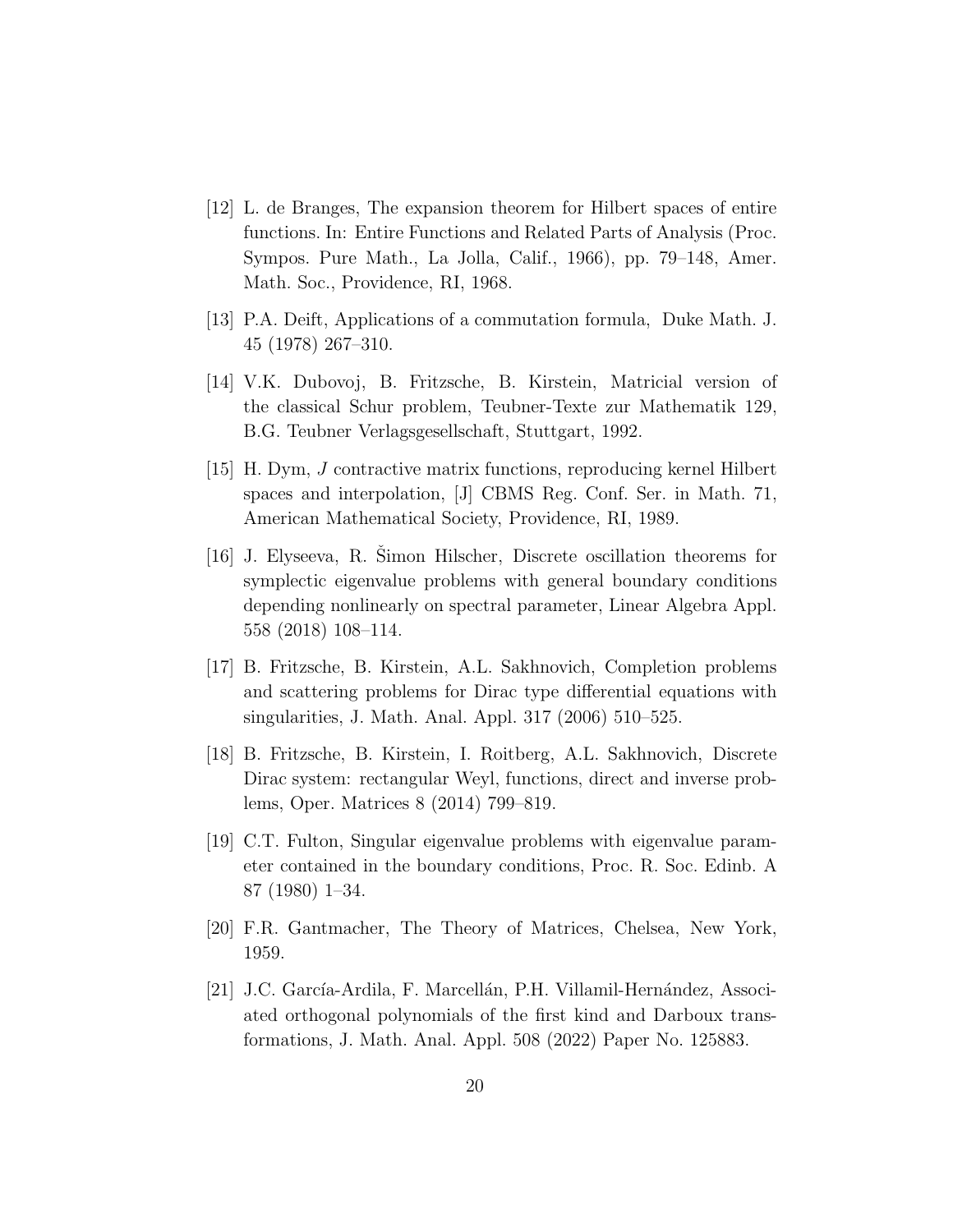- [12] L. de Branges, The expansion theorem for Hilbert spaces of entire functions. In: Entire Functions and Related Parts of Analysis (Proc. Sympos. Pure Math., La Jolla, Calif., 1966), pp. 79–148, Amer. Math. Soc., Providence, RI, 1968.
- [13] P.A. Deift, Applications of a commutation formula, Duke Math. J. 45 (1978) 267–310.
- [14] V.K. Dubovoj, B. Fritzsche, B. Kirstein, Matricial version of the classical Schur problem, Teubner-Texte zur Mathematik 129, B.G. Teubner Verlagsgesellschaft, Stuttgart, 1992.
- [15] H. Dym, J contractive matrix functions, reproducing kernel Hilbert spaces and interpolation, [J] CBMS Reg. Conf. Ser. in Math. 71, American Mathematical Society, Providence, RI, 1989.
- [16] J. Elyseeva, R. Simon Hilscher, Discrete oscillation theorems for symplectic eigenvalue problems with general boundary conditions depending nonlinearly on spectral parameter, Linear Algebra Appl. 558 (2018) 108–114.
- [17] B. Fritzsche, B. Kirstein, A.L. Sakhnovich, Completion problems and scattering problems for Dirac type differential equations with singularities, J. Math. Anal. Appl. 317 (2006) 510–525.
- [18] B. Fritzsche, B. Kirstein, I. Roitberg, A.L. Sakhnovich, Discrete Dirac system: rectangular Weyl, functions, direct and inverse problems, Oper. Matrices 8 (2014) 799–819.
- [19] C.T. Fulton, Singular eigenvalue problems with eigenvalue parameter contained in the boundary conditions, Proc. R. Soc. Edinb. A 87 (1980) 1–34.
- [20] F.R. Gantmacher, The Theory of Matrices, Chelsea, New York, 1959.
- [21] J.C. García-Ardila, F. Marcellán, P.H. Villamil-Hernández, Associated orthogonal polynomials of the first kind and Darboux transformations, J. Math. Anal. Appl. 508 (2022) Paper No. 125883.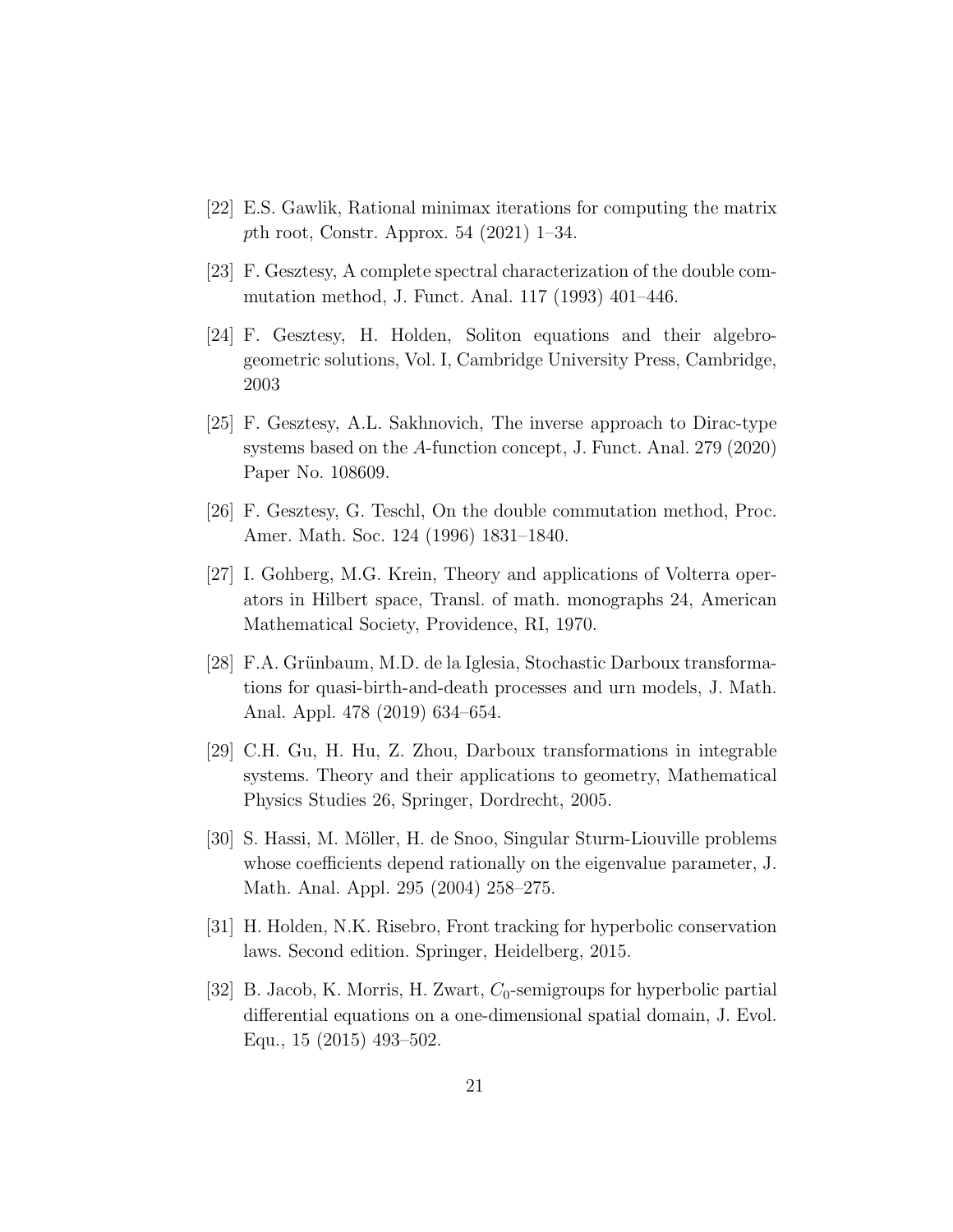- [22] E.S. Gawlik, Rational minimax iterations for computing the matrix pth root, Constr. Approx. 54 (2021) 1–34.
- [23] F. Gesztesy, A complete spectral characterization of the double commutation method, J. Funct. Anal. 117 (1993) 401–446.
- [24] F. Gesztesy, H. Holden, Soliton equations and their algebrogeometric solutions, Vol. I, Cambridge University Press, Cambridge, 2003
- [25] F. Gesztesy, A.L. Sakhnovich, The inverse approach to Dirac-type systems based on the A-function concept, J. Funct. Anal. 279 (2020) Paper No. 108609.
- [26] F. Gesztesy, G. Teschl, On the double commutation method, Proc. Amer. Math. Soc. 124 (1996) 1831–1840.
- [27] I. Gohberg, M.G. Krein, Theory and applications of Volterra operators in Hilbert space, Transl. of math. monographs 24, American Mathematical Society, Providence, RI, 1970.
- [28] F.A. Grünbaum, M.D. de la Iglesia, Stochastic Darboux transformations for quasi-birth-and-death processes and urn models, J. Math. Anal. Appl. 478 (2019) 634–654.
- [29] C.H. Gu, H. Hu, Z. Zhou, Darboux transformations in integrable systems. Theory and their applications to geometry, Mathematical Physics Studies 26, Springer, Dordrecht, 2005.
- [30] S. Hassi, M. Möller, H. de Snoo, Singular Sturm-Liouville problems whose coefficients depend rationally on the eigenvalue parameter, J. Math. Anal. Appl. 295 (2004) 258–275.
- [31] H. Holden, N.K. Risebro, Front tracking for hyperbolic conservation laws. Second edition. Springer, Heidelberg, 2015.
- [32] B. Jacob, K. Morris, H. Zwart,  $C_0$ -semigroups for hyperbolic partial differential equations on a one-dimensional spatial domain, J. Evol. Equ., 15 (2015) 493–502.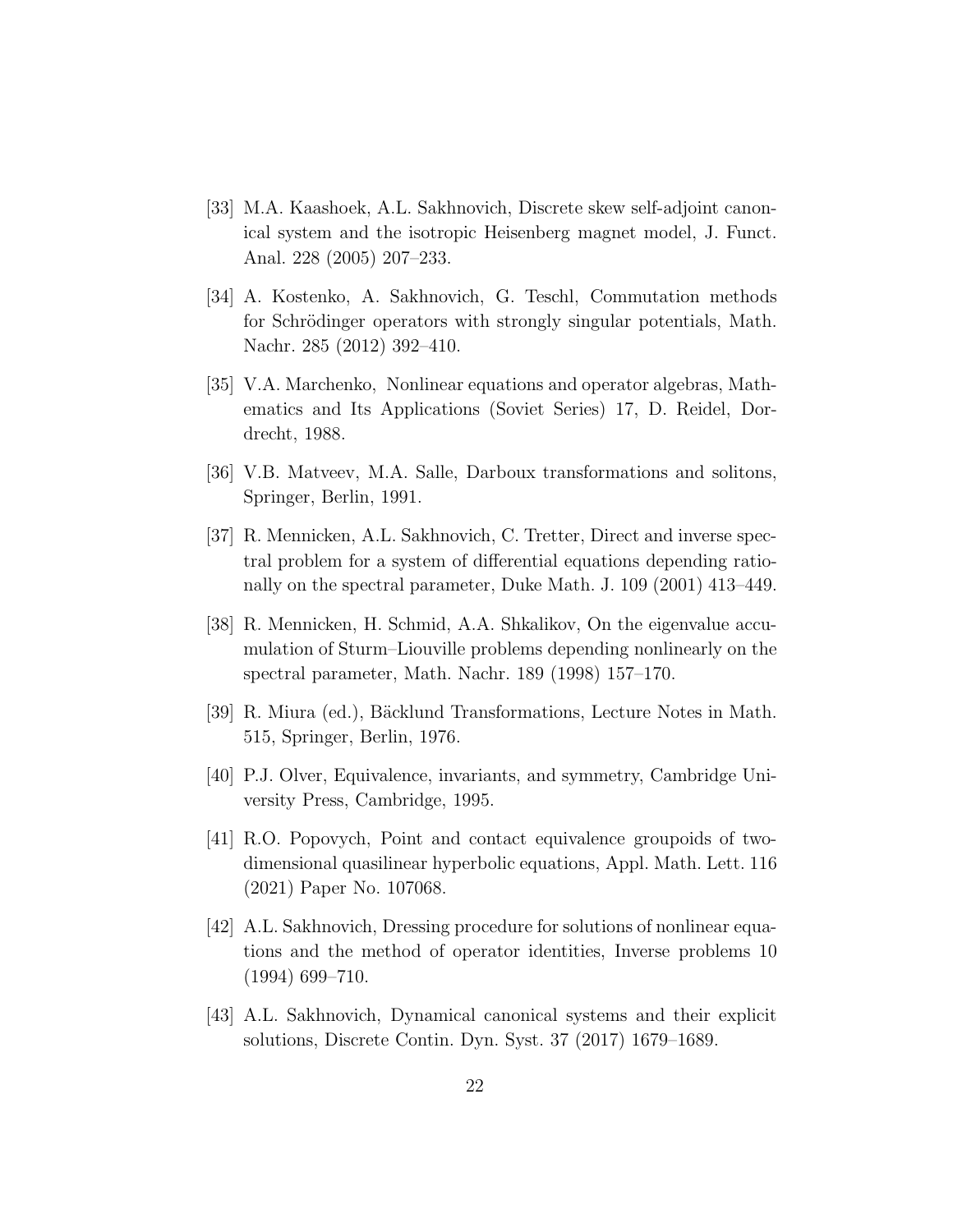- [33] M.A. Kaashoek, A.L. Sakhnovich, Discrete skew self-adjoint canonical system and the isotropic Heisenberg magnet model, J. Funct. Anal. 228 (2005) 207–233.
- [34] A. Kostenko, A. Sakhnovich, G. Teschl, Commutation methods for Schrödinger operators with strongly singular potentials, Math. Nachr. 285 (2012) 392–410.
- [35] V.A. Marchenko, Nonlinear equations and operator algebras, Mathematics and Its Applications (Soviet Series) 17, D. Reidel, Dordrecht, 1988.
- [36] V.B. Matveev, M.A. Salle, Darboux transformations and solitons, Springer, Berlin, 1991.
- [37] R. Mennicken, A.L. Sakhnovich, C. Tretter, Direct and inverse spectral problem for a system of differential equations depending rationally on the spectral parameter, Duke Math. J. 109 (2001) 413–449.
- [38] R. Mennicken, H. Schmid, A.A. Shkalikov, On the eigenvalue accumulation of Sturm–Liouville problems depending nonlinearly on the spectral parameter, Math. Nachr. 189 (1998) 157–170.
- [39] R. Miura (ed.), Bäcklund Transformations, Lecture Notes in Math. 515, Springer, Berlin, 1976.
- [40] P.J. Olver, Equivalence, invariants, and symmetry, Cambridge University Press, Cambridge, 1995.
- [41] R.O. Popovych, Point and contact equivalence groupoids of twodimensional quasilinear hyperbolic equations, Appl. Math. Lett. 116 (2021) Paper No. 107068.
- [42] A.L. Sakhnovich, Dressing procedure for solutions of nonlinear equations and the method of operator identities, Inverse problems 10 (1994) 699–710.
- [43] A.L. Sakhnovich, Dynamical canonical systems and their explicit solutions, Discrete Contin. Dyn. Syst. 37 (2017) 1679–1689.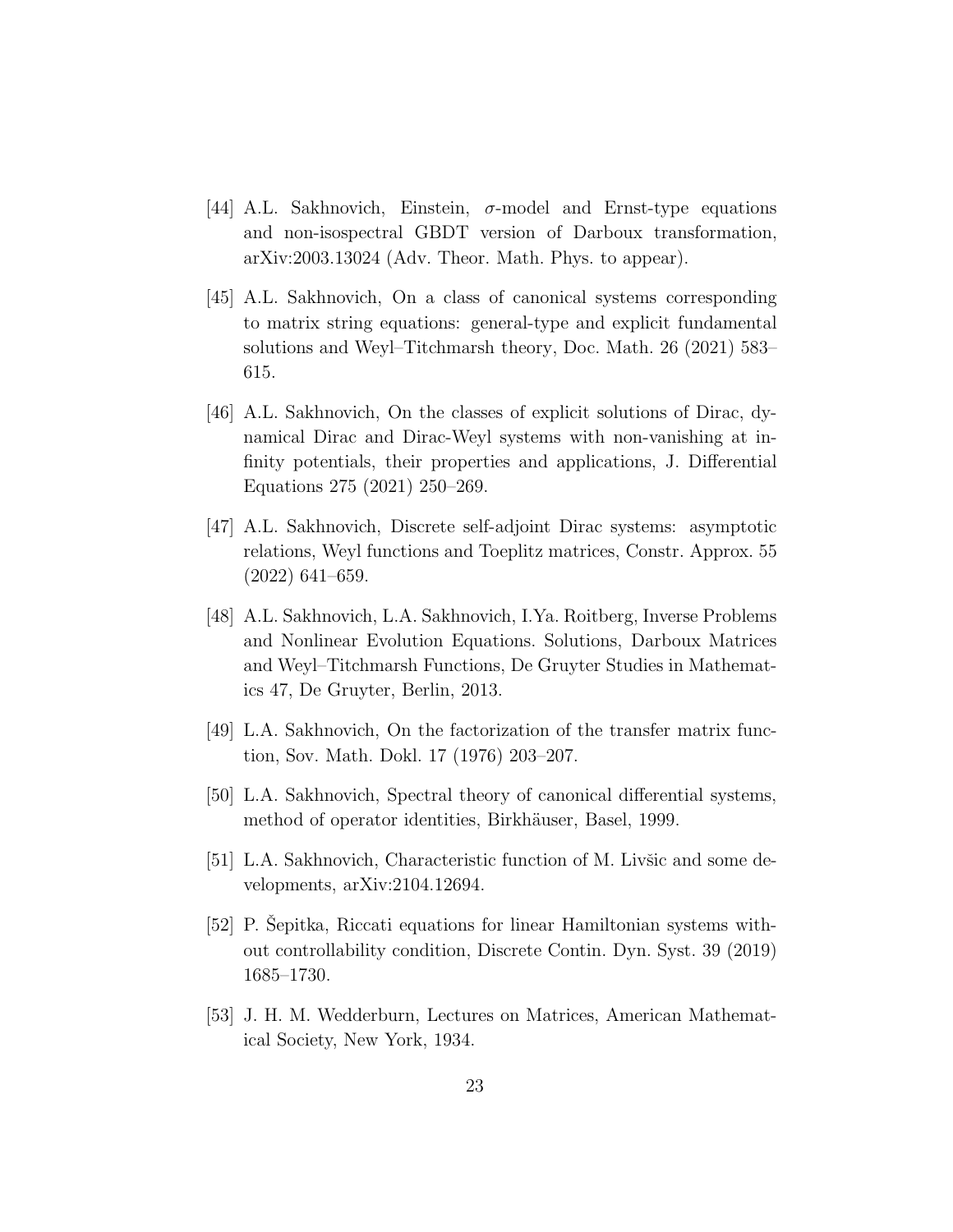- [44] A.L. Sakhnovich, Einstein,  $\sigma$ -model and Ernst-type equations and non-isospectral GBDT version of Darboux transformation, arXiv:2003.13024 (Adv. Theor. Math. Phys. to appear).
- [45] A.L. Sakhnovich, On a class of canonical systems corresponding to matrix string equations: general-type and explicit fundamental solutions and Weyl–Titchmarsh theory, Doc. Math. 26 (2021) 583– 615.
- [46] A.L. Sakhnovich, On the classes of explicit solutions of Dirac, dynamical Dirac and Dirac-Weyl systems with non-vanishing at infinity potentials, their properties and applications, J. Differential Equations 275 (2021) 250–269.
- [47] A.L. Sakhnovich, Discrete self-adjoint Dirac systems: asymptotic relations, Weyl functions and Toeplitz matrices, Constr. Approx. 55 (2022) 641–659.
- [48] A.L. Sakhnovich, L.A. Sakhnovich, I.Ya. Roitberg, Inverse Problems and Nonlinear Evolution Equations. Solutions, Darboux Matrices and Weyl–Titchmarsh Functions, De Gruyter Studies in Mathematics 47, De Gruyter, Berlin, 2013.
- [49] L.A. Sakhnovich, On the factorization of the transfer matrix function, Sov. Math. Dokl. 17 (1976) 203–207.
- [50] L.A. Sakhnovich, Spectral theory of canonical differential systems, method of operator identities, Birkhäuser, Basel, 1999.
- $[51]$  L.A. Sakhnovich, Characteristic function of M. Livšic and some developments, arXiv:2104.12694.
- [52] P. Sepitka, Riccati equations for linear Hamiltonian systems without controllability condition, Discrete Contin. Dyn. Syst. 39 (2019) 1685–1730.
- [53] J. H. M. Wedderburn, Lectures on Matrices, American Mathematical Society, New York, 1934.